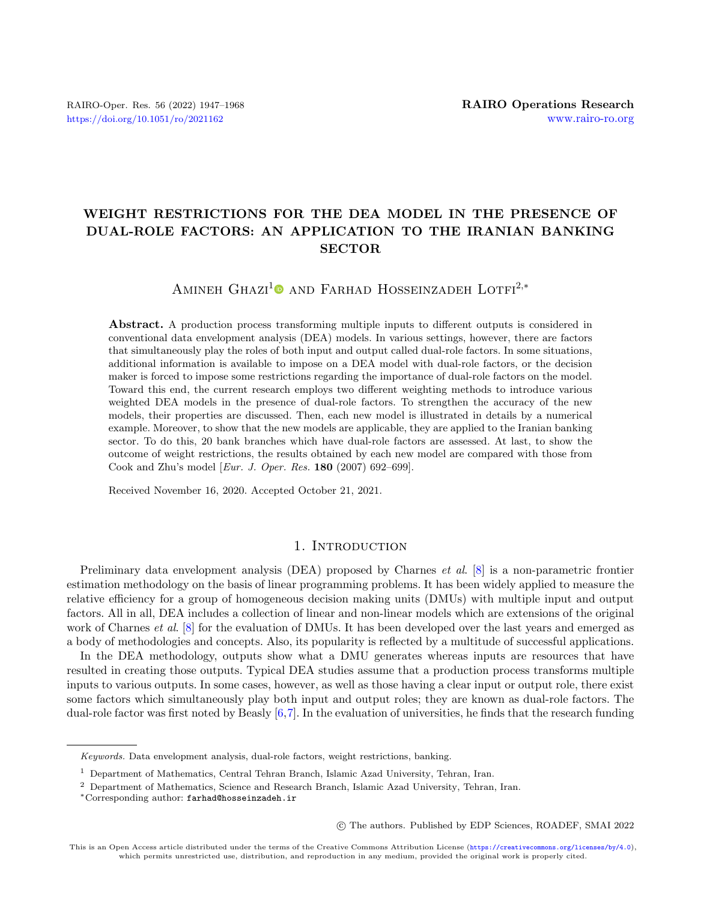## WEIGHT RESTRICTIONS FOR THE DEA MODEL IN THE PRESENCE OF DUAL-ROLE FACTORS: AN APPLICATION TO THE IRANIAN BANKING SECTOR

AMINEH GHAZI<sup>[1](https://orcid.org/0000-0001-8831-5792)</sup><sup>O</sup> AND FARHAD HOSSEINZADEH LOTFI<sup>2,\*</sup>

Abstract. A production process transforming multiple inputs to different outputs is considered in conventional data envelopment analysis (DEA) models. In various settings, however, there are factors that simultaneously play the roles of both input and output called dual-role factors. In some situations, additional information is available to impose on a DEA model with dual-role factors, or the decision maker is forced to impose some restrictions regarding the importance of dual-role factors on the model. Toward this end, the current research employs two different weighting methods to introduce various weighted DEA models in the presence of dual-role factors. To strengthen the accuracy of the new models, their properties are discussed. Then, each new model is illustrated in details by a numerical example. Moreover, to show that the new models are applicable, they are applied to the Iranian banking sector. To do this, 20 bank branches which have dual-role factors are assessed. At last, to show the outcome of weight restrictions, the results obtained by each new model are compared with those from Cook and Zhu's model [Eur. J. Oper. Res. 180 (2007) 692–699].

Received November 16, 2020. Accepted October 21, 2021.

## 1. INTRODUCTION

Preliminary data envelopment analysis (DEA) proposed by Charnes *et al.* [\[8\]](#page-20-0) is a non-parametric frontier estimation methodology on the basis of linear programming problems. It has been widely applied to measure the relative efficiency for a group of homogeneous decision making units (DMUs) with multiple input and output factors. All in all, DEA includes a collection of linear and non-linear models which are extensions of the original work of Charnes *et al.* [\[8\]](#page-20-0) for the evaluation of DMUs. It has been developed over the last years and emerged as a body of methodologies and concepts. Also, its popularity is reflected by a multitude of successful applications.

In the DEA methodology, outputs show what a DMU generates whereas inputs are resources that have resulted in creating those outputs. Typical DEA studies assume that a production process transforms multiple inputs to various outputs. In some cases, however, as well as those having a clear input or output role, there exist some factors which simultaneously play both input and output roles; they are known as dual-role factors. The dual-role factor was first noted by Beasly [\[6,](#page-20-1)[7\]](#page-20-2). In the evaluation of universities, he finds that the research funding

○c The authors. Published by EDP Sciences, ROADEF, SMAI 2022

Keywords. Data envelopment analysis, dual-role factors, weight restrictions, banking.

<sup>1</sup> Department of Mathematics, Central Tehran Branch, Islamic Azad University, Tehran, Iran.

<sup>2</sup> Department of Mathematics, Science and Research Branch, Islamic Azad University, Tehran, Iran.

<sup>\*</sup>Corresponding author: [farhad@hosseinzadeh.ir](mailto:farhad@hosseinzadeh.ir)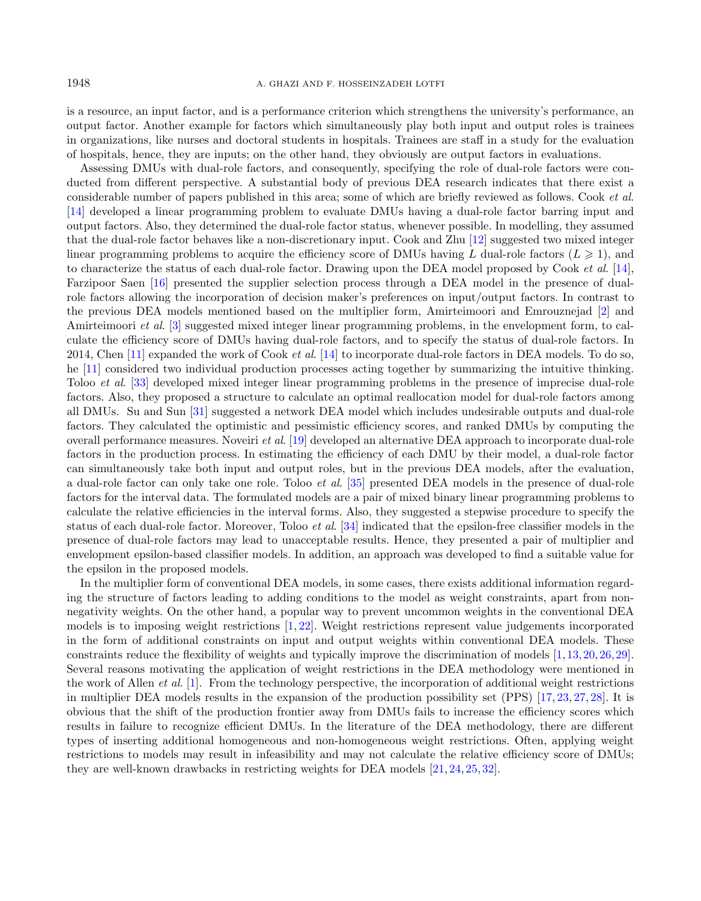is a resource, an input factor, and is a performance criterion which strengthens the university's performance, an output factor. Another example for factors which simultaneously play both input and output roles is trainees in organizations, like nurses and doctoral students in hospitals. Trainees are staff in a study for the evaluation of hospitals, hence, they are inputs; on the other hand, they obviously are output factors in evaluations.

Assessing DMUs with dual-role factors, and consequently, specifying the role of dual-role factors were conducted from different perspective. A substantial body of previous DEA research indicates that there exist a considerable number of papers published in this area; some of which are briefly reviewed as follows. Cook et al. [\[14\]](#page-20-3) developed a linear programming problem to evaluate DMUs having a dual-role factor barring input and output factors. Also, they determined the dual-role factor status, whenever possible. In modelling, they assumed that the dual-role factor behaves like a non-discretionary input. Cook and Zhu [\[12\]](#page-20-4) suggested two mixed integer linear programming problems to acquire the efficiency score of DMUs having L dual-role factors  $(L \geq 1)$ , and to characterize the status of each dual-role factor. Drawing upon the DEA model proposed by Cook et al. [\[14\]](#page-20-3), Farzipoor Saen [\[16\]](#page-20-5) presented the supplier selection process through a DEA model in the presence of dualrole factors allowing the incorporation of decision maker's preferences on input/output factors. In contrast to the previous DEA models mentioned based on the multiplier form, Amirteimoori and Emrouznejad [\[2\]](#page-20-6) and Amirteimoori et al. [\[3\]](#page-20-7) suggested mixed integer linear programming problems, in the envelopment form, to calculate the efficiency score of DMUs having dual-role factors, and to specify the status of dual-role factors. In 2014, Chen  $[11]$  expanded the work of Cook *et al.*  $[14]$  to incorporate dual-role factors in DEA models. To do so, he [\[11\]](#page-20-8) considered two individual production processes acting together by summarizing the intuitive thinking. Toloo et al. [\[33\]](#page-21-0) developed mixed integer linear programming problems in the presence of imprecise dual-role factors. Also, they proposed a structure to calculate an optimal reallocation model for dual-role factors among all DMUs. Su and Sun [\[31\]](#page-21-1) suggested a network DEA model which includes undesirable outputs and dual-role factors. They calculated the optimistic and pessimistic efficiency scores, and ranked DMUs by computing the overall performance measures. Noveiri et al. [\[19\]](#page-20-9) developed an alternative DEA approach to incorporate dual-role factors in the production process. In estimating the efficiency of each DMU by their model, a dual-role factor can simultaneously take both input and output roles, but in the previous DEA models, after the evaluation, a dual-role factor can only take one role. Toloo et al. [\[35\]](#page-21-2) presented DEA models in the presence of dual-role factors for the interval data. The formulated models are a pair of mixed binary linear programming problems to calculate the relative efficiencies in the interval forms. Also, they suggested a stepwise procedure to specify the status of each dual-role factor. Moreover, Toloo et al. [\[34\]](#page-21-3) indicated that the epsilon-free classifier models in the presence of dual-role factors may lead to unacceptable results. Hence, they presented a pair of multiplier and envelopment epsilon-based classifier models. In addition, an approach was developed to find a suitable value for the epsilon in the proposed models.

In the multiplier form of conventional DEA models, in some cases, there exists additional information regarding the structure of factors leading to adding conditions to the model as weight constraints, apart from nonnegativity weights. On the other hand, a popular way to prevent uncommon weights in the conventional DEA models is to imposing weight restrictions [\[1,](#page-20-10) [22\]](#page-21-4). Weight restrictions represent value judgements incorporated in the form of additional constraints on input and output weights within conventional DEA models. These constraints reduce the flexibility of weights and typically improve the discrimination of models [\[1,](#page-20-10)[13,](#page-20-11)[20,](#page-21-5)[26,](#page-21-6)[29\]](#page-21-7). Several reasons motivating the application of weight restrictions in the DEA methodology were mentioned in the work of Allen *et al.* [\[1\]](#page-20-10). From the technology perspective, the incorporation of additional weight restrictions in multiplier DEA models results in the expansion of the production possibility set (PPS) [\[17,](#page-20-12) [23,](#page-21-8) [27,](#page-21-9) [28\]](#page-21-10). It is obvious that the shift of the production frontier away from DMUs fails to increase the efficiency scores which results in failure to recognize efficient DMUs. In the literature of the DEA methodology, there are different types of inserting additional homogeneous and non-homogeneous weight restrictions. Often, applying weight restrictions to models may result in infeasibility and may not calculate the relative efficiency score of DMUs; they are well-known drawbacks in restricting weights for DEA models [\[21,](#page-21-11) [24,](#page-21-12) [25,](#page-21-13) [32\]](#page-21-14).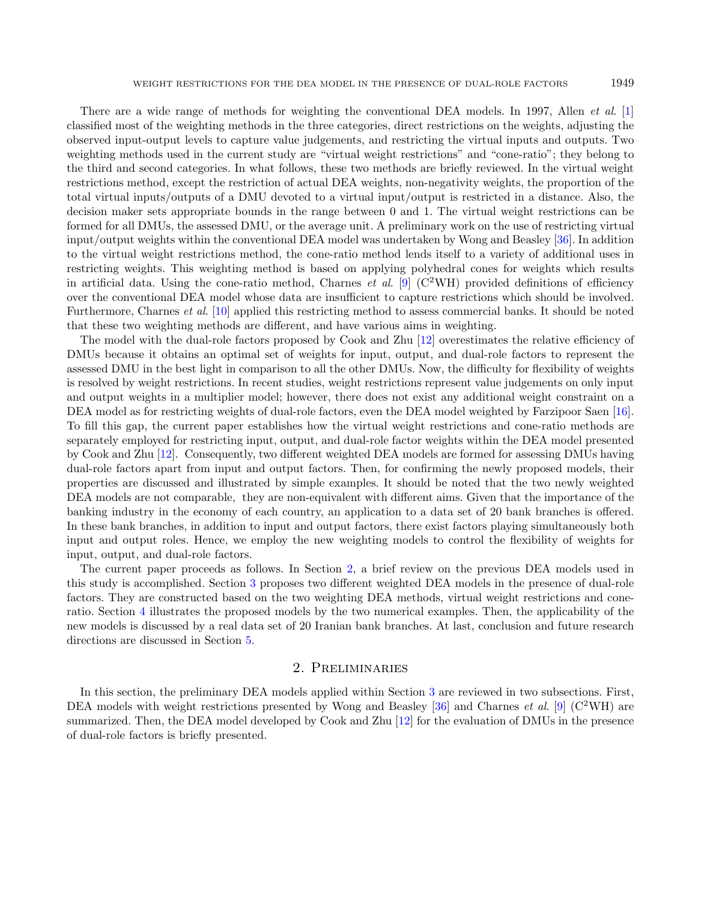There are a wide range of methods for weighting the conventional DEA models. In 1997, Allen *et al.* [\[1\]](#page-20-10) classified most of the weighting methods in the three categories, direct restrictions on the weights, adjusting the observed input-output levels to capture value judgements, and restricting the virtual inputs and outputs. Two weighting methods used in the current study are "virtual weight restrictions" and "cone-ratio"; they belong to the third and second categories. In what follows, these two methods are briefly reviewed. In the virtual weight restrictions method, except the restriction of actual DEA weights, non-negativity weights, the proportion of the total virtual inputs/outputs of a DMU devoted to a virtual input/output is restricted in a distance. Also, the decision maker sets appropriate bounds in the range between 0 and 1. The virtual weight restrictions can be formed for all DMUs, the assessed DMU, or the average unit. A preliminary work on the use of restricting virtual input/output weights within the conventional DEA model was undertaken by Wong and Beasley [\[36\]](#page-21-15). In addition to the virtual weight restrictions method, the cone-ratio method lends itself to a variety of additional uses in restricting weights. This weighting method is based on applying polyhedral cones for weights which results in artificial data. Using the cone-ratio method, Charnes *et al.* [\[9\]](#page-20-13) ( $C^2WH$ ) provided definitions of efficiency over the conventional DEA model whose data are insufficient to capture restrictions which should be involved. Furthermore, Charnes *et al.* [\[10\]](#page-20-14) applied this restricting method to assess commercial banks. It should be noted that these two weighting methods are different, and have various aims in weighting.

The model with the dual-role factors proposed by Cook and Zhu [\[12\]](#page-20-4) overestimates the relative efficiency of DMUs because it obtains an optimal set of weights for input, output, and dual-role factors to represent the assessed DMU in the best light in comparison to all the other DMUs. Now, the difficulty for flexibility of weights is resolved by weight restrictions. In recent studies, weight restrictions represent value judgements on only input and output weights in a multiplier model; however, there does not exist any additional weight constraint on a DEA model as for restricting weights of dual-role factors, even the DEA model weighted by Farzipoor Saen [\[16\]](#page-20-5). To fill this gap, the current paper establishes how the virtual weight restrictions and cone-ratio methods are separately employed for restricting input, output, and dual-role factor weights within the DEA model presented by Cook and Zhu [\[12\]](#page-20-4). Consequently, two different weighted DEA models are formed for assessing DMUs having dual-role factors apart from input and output factors. Then, for confirming the newly proposed models, their properties are discussed and illustrated by simple examples. It should be noted that the two newly weighted DEA models are not comparable, they are non-equivalent with different aims. Given that the importance of the banking industry in the economy of each country, an application to a data set of 20 bank branches is offered. In these bank branches, in addition to input and output factors, there exist factors playing simultaneously both input and output roles. Hence, we employ the new weighting models to control the flexibility of weights for input, output, and dual-role factors.

The current paper proceeds as follows. In Section [2,](#page-2-0) a brief review on the previous DEA models used in this study is accomplished. Section [3](#page-4-0) proposes two different weighted DEA models in the presence of dual-role factors. They are constructed based on the two weighting DEA methods, virtual weight restrictions and coneratio. Section [4](#page-13-0) illustrates the proposed models by the two numerical examples. Then, the applicability of the new models is discussed by a real data set of 20 Iranian bank branches. At last, conclusion and future research directions are discussed in Section [5.](#page-20-15)

## 2. Preliminaries

<span id="page-2-0"></span>In this section, the preliminary DEA models applied within Section [3](#page-4-0) are reviewed in two subsections. First, DEA models with weight restrictions presented by Wong and Beasley [\[36\]](#page-21-15) and Charnes *et al.* [\[9\]](#page-20-13) ( $C^2WH$ ) are summarized. Then, the DEA model developed by Cook and Zhu [\[12\]](#page-20-4) for the evaluation of DMUs in the presence of dual-role factors is briefly presented.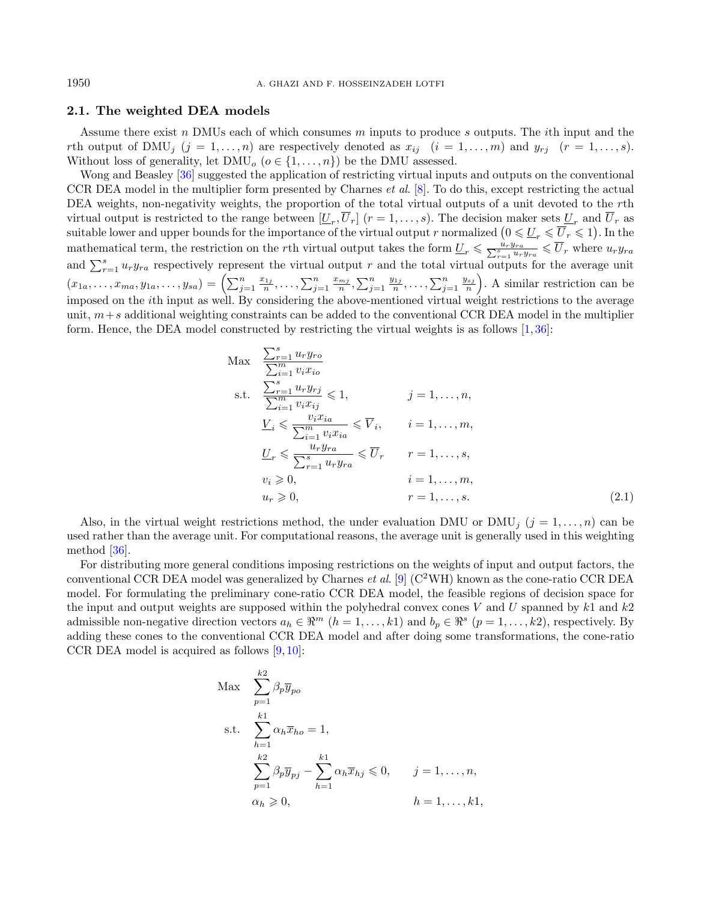## <span id="page-3-0"></span>2.1. The weighted DEA models

Assume there exist  $n$  DMUs each of which consumes  $m$  inputs to produce  $s$  outputs. The *i*th input and the rth output of DMU<sub>i</sub>  $(j = 1, ..., n)$  are respectively denoted as  $x_{ij}$   $(i = 1, ..., m)$  and  $y_{rj}$   $(r = 1, ..., s)$ . Without loss of generality, let  $\text{DMU}_o$   $(o \in \{1, ..., n\})$  be the DMU assessed.

Wong and Beasley [\[36\]](#page-21-15) suggested the application of restricting virtual inputs and outputs on the conventional CCR DEA model in the multiplier form presented by Charnes et al. [\[8\]](#page-20-0). To do this, except restricting the actual DEA weights, non-negativity weights, the proportion of the total virtual outputs of a unit devoted to the rth virtual output is restricted to the range between  $[\underline{U}_r, U_r]$   $(r = 1, \ldots, s)$ . The decision maker sets  $\underline{U}_r$  and  $U_r$  as suitable lower and upper bounds for the importance of the virtual output r normalized  $(0 \leqslant \underline{U}_r \leqslant \overline{U}_r \leqslant 1)$ . In the mathematical term, the restriction on the rth virtual output takes the form  $\underline{U}_r \leq \frac{u_r y_{ra}}{\sum_{r=1}^s u_r y_{ra}} \leq \overline{U}_r$  where  $u_r y_{ra}$ and  $\sum_{r=1}^{s} u_r y_{ra}$  respectively represent the virtual output r and the total virtual outputs for the average unit  $(x_{1a},\ldots,x_{ma},y_{1a},\ldots,y_{sa})=\left(\sum_{j=1}^n\frac{x_{1j}}{n},\ldots,\sum_{j=1}^n\frac{x_{mj}}{n},\sum_{j=1}^n\frac{y_{1j}}{n},\ldots,\sum_{j=1}^n\frac{y_{sj}}{n}\right)$ . A similar restriction can be imposed on the th input as well. By considering the above-mentioned virtual weight restrictions to the average unit,  $m + s$  additional weighting constraints can be added to the conventional CCR DEA model in the multiplier form. Hence, the DEA model constructed by restricting the virtual weights is as follows [\[1,](#page-20-10) [36\]](#page-21-15):

$$
\begin{aligned}\n\text{Max} \quad & \frac{\sum_{r=1}^{s} u_r y_{ro}}{\sum_{i=1}^{m} v_i x_{io}} \\
\text{s.t.} \quad & \frac{\sum_{r=1}^{s} u_r y_{rj}}{\sum_{i=1}^{m} v_i x_{ij}} \leqslant 1, \qquad j = 1, \dots, n, \\
& \frac{V_i}{\sum_{i=1}^{m} v_i x_{ia}} \leqslant \overline{V}_i, \qquad i = 1, \dots, m, \\
& \frac{U_r}{\sum_{r=1}^{s} u_r y_{ra}} \leqslant \overline{U}_r \qquad r = 1, \dots, s, \\
& v_i \geqslant 0, \qquad i = 1, \dots, m, \\
& u_r \geqslant 0, \qquad i = 1, \dots, m, \\
& u_r \geqslant 0, \qquad r = 1, \dots, s.\n\end{aligned} \tag{2.1}
$$

Also, in the virtual weight restrictions method, the under evaluation DMU or DMU<sub>j</sub>  $(j = 1, ..., n)$  can be used rather than the average unit. For computational reasons, the average unit is generally used in this weighting method [\[36\]](#page-21-15).

For distributing more general conditions imposing restrictions on the weights of input and output factors, the conventional CCR DEA model was generalized by Charnes *et al.* [\[9\]](#page-20-13) ( $C<sup>2</sup>WH$ ) known as the cone-ratio CCR DEA model. For formulating the preliminary cone-ratio CCR DEA model, the feasible regions of decision space for the input and output weights are supposed within the polyhedral convex cones  $V$  and  $U$  spanned by  $k1$  and  $k2$ admissible non-negative direction vectors  $a_h \in \mathbb{R}^m$   $(h = 1, \ldots, k\mathbb{1})$  and  $b_p \in \mathbb{R}^s$   $(p = 1, \ldots, k\mathbb{2})$ , respectively. By adding these cones to the conventional CCR DEA model and after doing some transformations, the cone-ratio CCR DEA model is acquired as follows [\[9,](#page-20-13) [10\]](#page-20-14):

$$
\begin{aligned}\n\text{Max} \quad & \sum_{p=1}^{k2} \beta_p \overline{y}_{po} \\
\text{s.t.} \quad & \sum_{h=1}^{k1} \alpha_h \overline{x}_{ho} = 1, \\
& \sum_{p=1}^{k2} \beta_p \overline{y}_{pj} - \sum_{h=1}^{k1} \alpha_h \overline{x}_{hj} \leq 0, \qquad j = 1, \dots, n, \\
& \alpha_h \geq 0, \qquad \qquad h = 1, \dots, k1,\n\end{aligned}
$$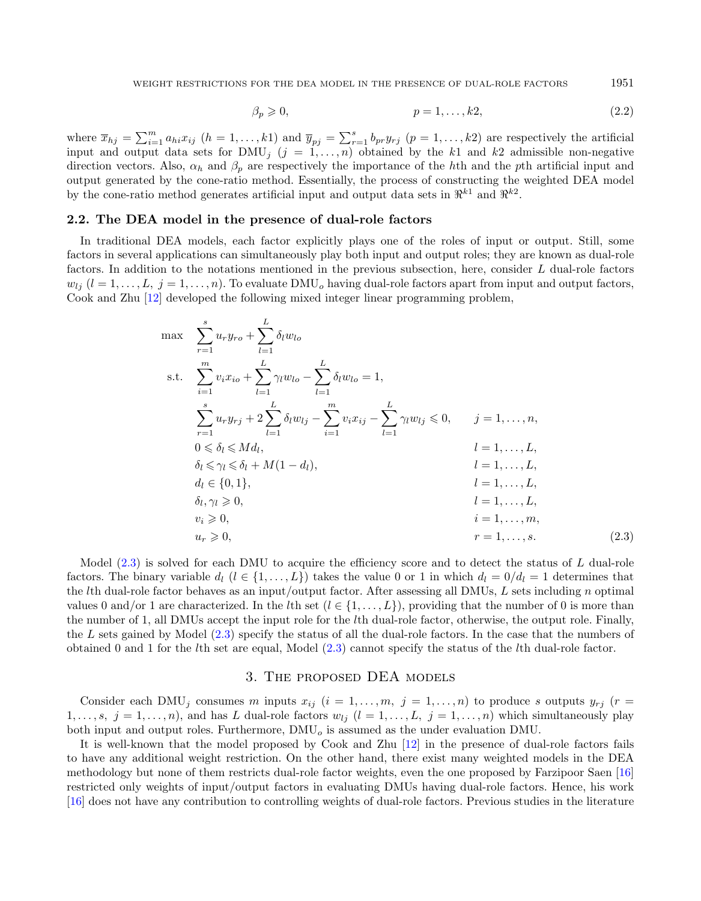<span id="page-4-1"></span>
$$
\beta_p \geqslant 0, \qquad p = 1, \dots, k2, \tag{2.2}
$$

where  $\bar{x}_{hj} = \sum_{i=1}^{m} a_{hi} x_{ij}$   $(h = 1, ..., k1)$  and  $\bar{y}_{pj} = \sum_{r=1}^{s} b_{pr} y_{rj}$   $(p = 1, ..., k2)$  are respectively the artificial input and output data sets for  $\text{DMU}_j$   $(j = 1, ..., n)$  obtained by the k1 and k2 admissible non-negative direction vectors. Also,  $\alpha_h$  and  $\beta_p$  are respectively the importance of the hth and the pth artificial input and output generated by the cone-ratio method. Essentially, the process of constructing the weighted DEA model by the cone-ratio method generates artificial input and output data sets in  $\mathbb{R}^{k_1}$  and  $\mathbb{R}^{k_2}$ .

## <span id="page-4-2"></span>2.2. The DEA model in the presence of dual-role factors

In traditional DEA models, each factor explicitly plays one of the roles of input or output. Still, some factors in several applications can simultaneously play both input and output roles; they are known as dual-role factors. In addition to the notations mentioned in the previous subsection, here, consider L dual-role factors  $w_{li}$   $(l = 1, \ldots, L, j = 1, \ldots, n)$ . To evaluate  $\text{DMU}_o$  having dual-role factors apart from input and output factors, Cook and Zhu [\[12\]](#page-20-4) developed the following mixed integer linear programming problem,

$$
\max \sum_{r=1}^{s} u_r y_{ro} + \sum_{l=1}^{L} \delta_l w_{lo}
$$
\n  
\ns.t. 
$$
\sum_{i=1}^{m} v_i x_{io} + \sum_{l=1}^{L} \gamma_l w_{lo} - \sum_{l=1}^{L} \delta_l w_{lo} = 1,
$$
\n
$$
\sum_{r=1}^{s} u_r y_{rj} + 2 \sum_{l=1}^{L} \delta_l w_{lj} - \sum_{i=1}^{m} v_i x_{ij} - \sum_{l=1}^{L} \gamma_l w_{lj} \leq 0, \quad j = 1, ..., n,
$$
\n
$$
0 \leq \delta_l \leq M d_l, \quad l = 1, ..., L,
$$
\n
$$
\delta_l \leq \gamma_l \leq \delta_l + M(1 - d_l), \quad l = 1, ..., L,
$$
\n
$$
d_l \in \{0, 1\}, \quad l = 1, ..., L,
$$
\n
$$
\delta_l, \gamma_l \geq 0, \quad l = 1, ..., L,
$$
\n
$$
v_i \geq 0, \quad i = 1, ..., m,
$$
\n
$$
u_r \geq 0, \quad r = 1, ..., s.
$$
\n(2.3)

Model  $(2.3)$  is solved for each DMU to acquire the efficiency score and to detect the status of  $L$  dual-role factors. The binary variable  $d_l$   $(l \in \{1, ..., L\})$  takes the value 0 or 1 in which  $d_l = 0/d_l = 1$  determines that the lth dual-role factor behaves as an input/output factor. After assessing all DMUs,  $L$  sets including  $n$  optimal values 0 and/or 1 are characterized. In the *l*th set  $(l \in \{1, \ldots, L\})$ , providing that the number of 0 is more than the number of 1, all DMUs accept the input role for the th dual-role factor, otherwise, the output role. Finally, the  $L$  sets gained by Model  $(2.3)$  specify the status of all the dual-role factors. In the case that the numbers of obtained 0 and 1 for the th set are equal, Model [\(2.3\)](#page-4-1) cannot specify the status of the th dual-role factor.

## 3. The proposed DEA models

<span id="page-4-0"></span>Consider each DMU<sub>j</sub> consumes m inputs  $x_{ij}$  ( $i = 1, ..., m, j = 1, ..., n$ ) to produce s outputs  $y_{rj}$  ( $r =$  $1, \ldots, s, j = 1, \ldots, n$ , and has L dual-role factors  $w_{lj}$   $(l = 1, \ldots, L, j = 1, \ldots, n)$  which simultaneously play both input and output roles. Furthermore,  $\text{DMU}_o$  is assumed as the under evaluation DMU.

It is well-known that the model proposed by Cook and Zhu [\[12\]](#page-20-4) in the presence of dual-role factors fails to have any additional weight restriction. On the other hand, there exist many weighted models in the DEA methodology but none of them restricts dual-role factor weights, even the one proposed by Farzipoor Saen [\[16\]](#page-20-5) restricted only weights of input/output factors in evaluating DMUs having dual-role factors. Hence, his work [\[16\]](#page-20-5) does not have any contribution to controlling weights of dual-role factors. Previous studies in the literature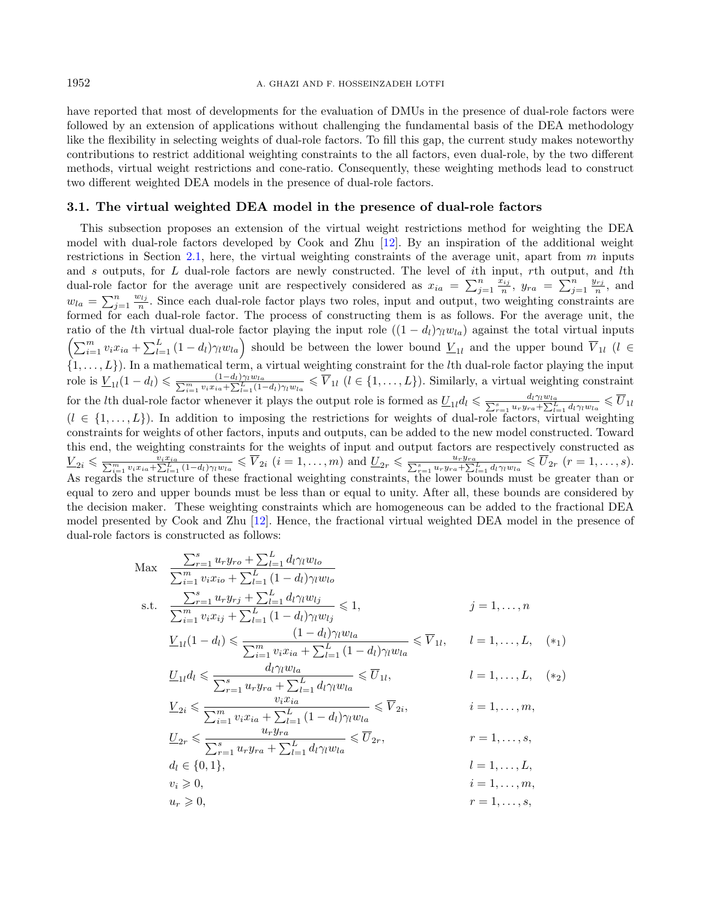have reported that most of developments for the evaluation of DMUs in the presence of dual-role factors were followed by an extension of applications without challenging the fundamental basis of the DEA methodology like the flexibility in selecting weights of dual-role factors. To fill this gap, the current study makes noteworthy contributions to restrict additional weighting constraints to the all factors, even dual-role, by the two different methods, virtual weight restrictions and cone-ratio. Consequently, these weighting methods lead to construct two different weighted DEA models in the presence of dual-role factors.

#### <span id="page-5-0"></span>3.1. The virtual weighted DEA model in the presence of dual-role factors

This subsection proposes an extension of the virtual weight restrictions method for weighting the DEA model with dual-role factors developed by Cook and Zhu [\[12\]](#page-20-4). By an inspiration of the additional weight restrictions in Section [2.1,](#page-3-0) here, the virtual weighting constraints of the average unit, apart from  $m$  inputs and s outputs, for  $L$  dual-role factors are newly constructed. The level of ith input, rth output, and lth dual-role factor for the average unit are respectively considered as  $x_{ia} = \sum_{j=1}^n \frac{x_{ij}}{n}$ ,  $y_{ra} = \sum_{j=1}^n \frac{y_{rj}}{n}$ , and  $w_{la} = \sum_{j=1}^{n} \frac{w_{lj}}{n}$ . Since each dual-role factor plays two roles, input and output, two weighting constraints are formed for each dual-role factor. The process of constructing them is as follows. For the average unit, the ratio of the *l*th virtual dual-role factor playing the input role  $((1 - d_l)\gamma_l w_{la})$  against the total virtual inputs  $\left(\sum_{i=1}^m v_i x_{ia} + \sum_{l=1}^L (1-d_l) \gamma_l w_{la}\right)$  should be between the lower bound  $\underline{V}_{1l}$  and the upper bound  $\overline{V}_{1l}$   $(l \in$  $\{1,\ldots,L\}$ . In a mathematical term, a virtual weighting constraint for the lth dual-role factor playing the input role is  $\underline{V}_{1l}(1-d_l) \leq \frac{(1-d_l)\gamma_l w_{la}}{\sum_{i=1}^m v_i x_{ia} + \sum_{l=1}^L (1-d_l)\gamma_l w_{la}} \leq \overline{V}_{1l}$   $(l \in \{1,\ldots,L\})$ . Similarly, a virtual weighting constraint for the *l*th dual-role factor whenever it plays the output role is formed as  $\underline{U}_{1l}d_l \leq \frac{d_l\gamma_l w_{la}}{\sum_{r=1}^s u_r y_{ra} + \sum_{l=1}^L d_l\gamma_l w_{la}} \leq \overline{U}_{1l}$  $(l \in \{1, \ldots, L\})$ . In addition to imposing the restrictions for weights of dual-role factors, virtual weighting constraints for weights of other factors, inputs and outputs, can be added to the new model constructed. Toward this end, the weighting constraints for the weights of input and output factors are respectively constructed as  $\underline{V}_{2i} \leq \frac{v_i x_{ia}}{\sum_{i=1}^m v_i x_{ia} + \sum_{l=1}^L (1-d_l)\gamma_l w_{la}} \leq \overline{V}_{2i}$   $(i = 1, ..., m)$  and  $\underline{U}_{2r} \leq \frac{u_r y_{ra}}{\sum_{r=1}^s u_r y_{ra} + \sum_{l=1}^L d_l \gamma_l w_{la}} \leq \overline{U}_{2r}$   $(r = 1, ..., s)$ . As regards the structure of these fractional weighting constraints, the lower bounds must be greater than or equal to zero and upper bounds must be less than or equal to unity. After all, these bounds are considered by the decision maker. These weighting constraints which are homogeneous can be added to the fractional DEA model presented by Cook and Zhu [\[12\]](#page-20-4). Hence, the fractional virtual weighted DEA model in the presence of dual-role factors is constructed as follows:

$$
\begin{aligned}\n\text{Max} \quad & \frac{\sum_{r=1}^{s} u_r y_{ro} + \sum_{l=1}^{L} d_l \gamma_l w_{lo}}{\sum_{i=1}^{m} v_i x_{io} + \sum_{l=1}^{L} (1 - d_l) \gamma_l w_{lo}} \\
\text{s.t.} \quad & \frac{\sum_{r=1}^{s} u_r y_{rj} + \sum_{l=1}^{L} d_l \gamma_l w_{lj}}{\sum_{i=1}^{m} v_i x_{ij} + \sum_{l=1}^{L} (1 - d_l) \gamma_l w_{lj}} \leq 1, \qquad j = 1, \dots, n \\
& V_{1l}(1 - d_l) \leq \frac{(1 - d_l) \gamma_l w_{la}}{\sum_{r=1}^{L} (1 - d_l) \gamma_l w_{la}} \leq \overline{V}_{1l}, \qquad l = 1, \dots, L, \quad (*)\n\end{aligned}
$$

$$
\underline{V}_{1l}(1-d_l) \leq \frac{(1-d_l)\gamma_l w_{la}}{\sum_{i=1}^m v_i x_{ia} + \sum_{l=1}^L (1-d_l)\gamma_l w_{la}} \leq \overline{V}_{1l}, \qquad l=1,\ldots,L, \quad (*)
$$

$$
\underline{U}_{1l}d_l \leqslant \frac{u_l \gamma_l w_{la}}{\sum_{r=1}^s u_r y_{ra} + \sum_{l=1}^L d_l \gamma_l w_{la}} \leqslant \overline{U}_{1l}, \qquad l = 1, ..., L, \quad (*)
$$
\n
$$
\underline{V}_{2i} \leqslant \frac{v_i x_{ia}}{\sum_{i=1}^m v_i x_{ia} + \sum_{l=1}^L (1 - d_l) \gamma_l w_{la}} \leqslant \overline{V}_{2i}, \qquad i = 1, ..., m,
$$
\n
$$
\underline{U}_{2r} \leqslant \frac{u_r y_{ra}}{\sum_{r=1}^s u_r y_{ra} + \sum_{l=1}^L d_l \gamma_l w_{la}} \leqslant \overline{U}_{2r}, \qquad r = 1, ..., s,
$$

$$
l = 1, \ldots, L,
$$
  
\n
$$
u_l \geq 0,
$$
  
\n
$$
u_r \geq 0,
$$
  
\n
$$
u_r \geq 0,
$$
  
\n
$$
i = 1, \ldots, m,
$$
  
\n
$$
r = 1, \ldots, s,
$$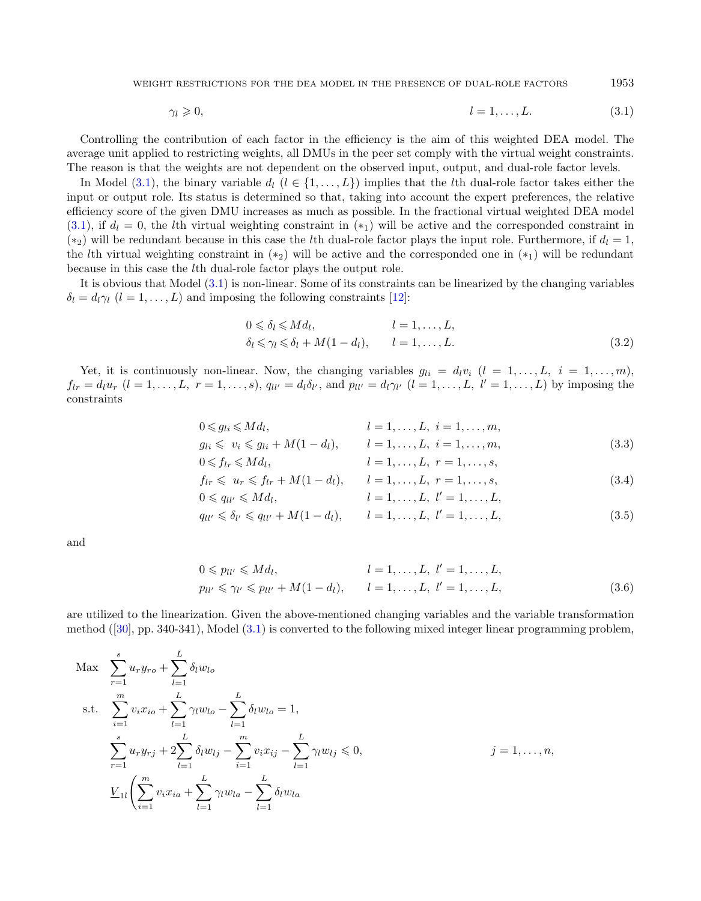WEIGHT RESTRICTIONS FOR THE DEA MODEL IN THE PRESENCE OF DUAL-ROLE FACTORS 1953

<span id="page-6-0"></span>
$$
\gamma_l \geqslant 0, \qquad l = 1, \dots, L. \tag{3.1}
$$

Controlling the contribution of each factor in the efficiency is the aim of this weighted DEA model. The average unit applied to restricting weights, all DMUs in the peer set comply with the virtual weight constraints. The reason is that the weights are not dependent on the observed input, output, and dual-role factor levels.

In Model [\(3.1\)](#page-6-0), the binary variable  $d_l$  ( $l \in \{1, \ldots, L\}$ ) implies that the lth dual-role factor takes either the input or output role. Its status is determined so that, taking into account the expert preferences, the relative efficiency score of the given DMU increases as much as possible. In the fractional virtual weighted DEA model  $(3.1)$ , if  $d_l = 0$ , the lth virtual weighting constraint in  $(*_1)$  will be active and the corresponded constraint in (\*2) will be redundant because in this case the lth dual-role factor plays the input role. Furthermore, if  $d_l = 1$ , the lth virtual weighting constraint in  $(*_2)$  will be active and the corresponded one in  $(*_1)$  will be redundant because in this case the  $l$ th dual-role factor plays the output role.

It is obvious that Model [\(3.1\)](#page-6-0) is non-linear. Some of its constraints can be linearized by the changing variables  $\delta_l = d_l \gamma_l$   $(l = 1, ..., L)$  and imposing the following constraints [\[12\]](#page-20-4):

$$
0 \leq \delta_l \leq M d_l, \qquad l = 1, \dots, L,
$$
  
\n
$$
\delta_l \leq \gamma_l \leq \delta_l + M(1 - d_l), \qquad l = 1, \dots, L.
$$
\n(3.2)

Yet, it is continuously non-linear. Now, the changing variables  $g_{li} = d_l v_i$   $(l = 1, ..., L, i = 1, ..., m)$ ,  $f_{lr} = d_l u_r$   $(l = 1, ..., L, r = 1, ..., s)$ ,  $q_{ll'} = d_l \delta_{l'}$ , and  $p_{ll'} = d_l \gamma_{l'}$   $(l = 1, ..., L, l' = 1, ..., L)$  by imposing the constraints

$$
0 \le g_{li} \le Md_l, \qquad l = 1, ..., L, \quad i = 1, ..., m,
$$
  
\n
$$
g_{li} \le v_i \le g_{li} + M(1 - d_l), \qquad l = 1, ..., L, \quad i = 1, ..., m,
$$
\n(3.3)

$$
0 \leqslant f_{lr} \leqslant M d_l, \qquad l = 1, \ldots, L, r = 1, \ldots, s,
$$

$$
f_{lr} \leq u_r \leq f_{lr} + M(1 - d_l), \qquad l = 1, ..., L, \ r = 1, ..., s,
$$
  
\n
$$
0 \leq q_{ll'} \leq M d_l, \qquad l = 1, ..., L, \ l' = 1, ..., L,
$$
\n(3.4)

$$
q_{ll'} \leq \delta_{l'} \leq q_{ll'} + M(1 - d_l), \qquad l = 1, \dots, L, \ l' = 1, \dots, L,
$$
\n(3.5)

and

$$
0 \leq p_{ll'} \leq M d_l, \qquad l = 1, ..., L, \quad l' = 1, ..., L, p_{ll'} \leq \gamma_{l'} \leq p_{ll'} + M(1 - d_l), \qquad l = 1, ..., L, \quad l' = 1, ..., L,
$$
 (3.6)

are utilized to the linearization. Given the above-mentioned changing variables and the variable transformation method([\[30\]](#page-21-16), pp. 340-341), Model [\(3.1\)](#page-6-0) is converted to the following mixed integer linear programming problem,

$$
\begin{aligned}\n\text{Max} \quad & \sum_{r=1}^{s} u_r y_{ro} + \sum_{l=1}^{L} \delta_l w_{lo} \\
\text{s.t.} \quad & \sum_{i=1}^{m} v_i x_{io} + \sum_{l=1}^{L} \gamma_l w_{lo} - \sum_{l=1}^{L} \delta_l w_{lo} = 1, \\
& \sum_{r=1}^{s} u_r y_{rj} + 2 \sum_{l=1}^{L} \delta_l w_{lj} - \sum_{i=1}^{m} v_i x_{ij} - \sum_{l=1}^{L} \gamma_l w_{lj} \leq 0, \\
& \sum_{l=1}^{L} \left( \sum_{i=1}^{m} v_i x_{ia} + \sum_{l=1}^{L} \gamma_l w_{la} - \sum_{l=1}^{L} \delta_l w_{la} \right)\n\end{aligned}
$$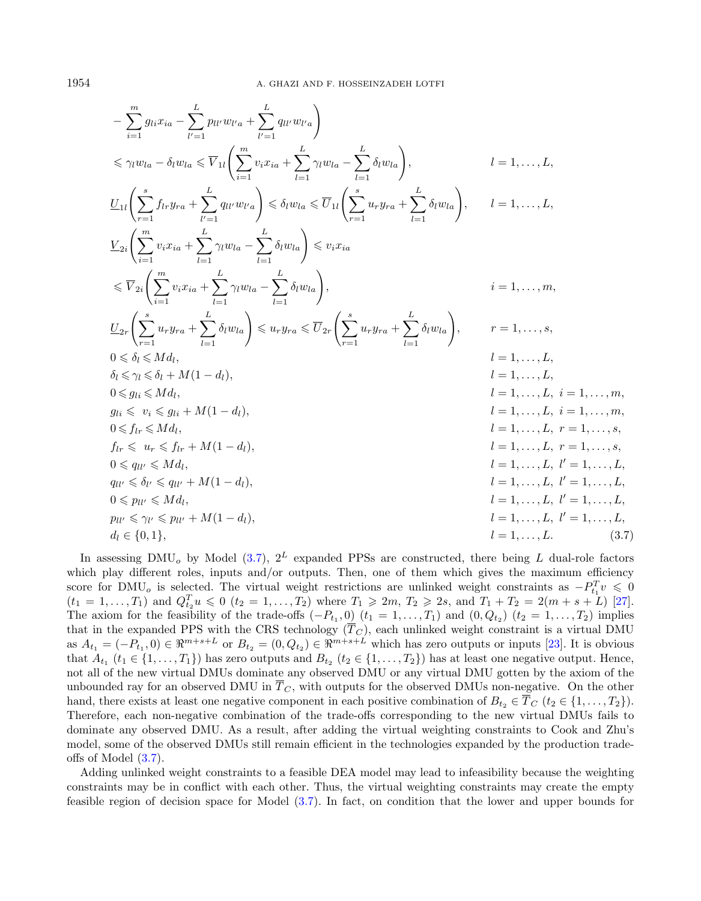<span id="page-7-0"></span>
$$
-\sum_{i=1}^{m} g_{li}x_{ia} - \sum_{l'=1}^{L} p_{ll'}w_{l'a} + \sum_{l'=1}^{L} q_{ll'}w_{l'a} \Big) \n\leq \gamma_l w_{la} - \delta_l w_{la} \leq \overline{V}_{1l} \Big( \sum_{i=1}^{m} v_i x_{ia} + \sum_{l=1}^{L} \gamma_l w_{la} - \sum_{l=1}^{L} \delta_l w_{la} \Big), \qquad l = 1, ..., L,
$$
\n
$$
\underbrace{U_{1l} \Big( \sum_{r=1}^{s} f_{lr} y_{ra} + \sum_{l'=1}^{L} q_{ll'}w_{l'a} \Big) \leq \delta_l w_{la} \leq \overline{U}_{1l} \Big( \sum_{r=1}^{s} u_r y_{ra} + \sum_{l=1}^{L} \delta_l w_{la} \Big), \qquad l = 1, ..., L,
$$
\n
$$
\sum_{2i} \Big( \sum_{i=1}^{m} v_i x_{ia} + \sum_{l=1}^{L} \gamma_l w_{la} - \sum_{l=1}^{L} \delta_l w_{la} \Big) \leq v_i x_{ia} \n\leq \overline{V}_{2i} \Big( \sum_{i=1}^{m} u_r y_{ra} + \sum_{l=1}^{L} \gamma_l w_{la} - \sum_{l=1}^{L} \delta_l w_{la} \Big), \qquad i = 1, ..., m,
$$
\n
$$
\underbrace{U_{2r} \Big( \sum_{i=1}^{s} u_r y_{ra} + \sum_{l=1}^{L} \delta_l w_{la} \Big) \leq u_r y_{ra} \leq \overline{U}_{2r} \Big( \sum_{r=1}^{s} u_r y_{ra} + \sum_{l=1}^{L} \delta_l w_{la} \Big), \qquad r = 1, ..., s,
$$
\n
$$
0 \leq \delta_l \leq M d_l, \qquad l = 1, ..., L, i = 1, ..., L,
$$
\n
$$
\delta_l \leq \gamma_l \leq \delta_l + M(1 - d_l), \qquad l = 1, ..., L, i = 1, ..., m,
$$
\n
$$
0 \leq g_{li} \leq M d_l, \qquad l = 1, ..., L, r = 1, ..., s,
$$
\n
$$
\delta_l \leq v_i \leq g_{li} + M(1 - d_l),
$$

In assessing DMU<sub>o</sub> by Model [\(3.7\)](#page-7-0),  $2^L$  expanded PPSs are constructed, there being L dual-role factors which play different roles, inputs and/or outputs. Then, one of them which gives the maximum efficiency score for DMU<sub>o</sub> is selected. The virtual weight restrictions are unlinked weight constraints as  $-P_{t_1}^T v \leq 0$  $(t_1 = 1, \ldots, T_1)$  and  $Q_{t_2}^T u \leq 0$   $(t_2 = 1, \ldots, T_2)$  where  $T_1 \geq 2m, T_2 \geq 2s$ , and  $T_1 + T_2 = 2(m + s + L)$  [\[27\]](#page-21-9). The axiom for the feasibility of the trade-offs  $(-P_{t_1},0)$   $(t_1 = 1,\ldots,T_1)$  and  $(0,Q_{t_2})$   $(t_2 = 1,\ldots,T_2)$  implies that in the expanded PPS with the CRS technology  $(T_C)$ , each unlinked weight constraint is a virtual DMU as  $A_{t_1} = (-P_{t_1}, 0) \in \mathbb{R}^{m+s+L}$  or  $B_{t_2} = (0, Q_{t_2}) \in \mathbb{R}^{m+s+L}$  which has zero outputs or inputs [\[23\]](#page-21-8). It is obvious that  $A_{t_1}$   $(t_1 \in \{1, ..., T_1\})$  has zero outputs and  $B_{t_2}$   $(t_2 \in \{1, ..., T_2\})$  has at least one negative output. Hence, not all of the new virtual DMUs dominate any observed DMU or any virtual DMU gotten by the axiom of the unbounded ray for an observed DMU in  $\overline{T}_C$ , with outputs for the observed DMUs non-negative. On the other hand, there exists at least one negative component in each positive combination of  $B_{t_2} \in \overline{T}_C$   $(t_2 \in \{1, ..., T_2\})$ . Therefore, each non-negative combination of the trade-offs corresponding to the new virtual DMUs fails to dominate any observed DMU. As a result, after adding the virtual weighting constraints to Cook and Zhu's model, some of the observed DMUs still remain efficient in the technologies expanded by the production tradeoffs of Model [\(3.7\)](#page-7-0).

Adding unlinked weight constraints to a feasible DEA model may lead to infeasibility because the weighting constraints may be in conflict with each other. Thus, the virtual weighting constraints may create the empty feasible region of decision space for Model [\(3.7\)](#page-7-0). In fact, on condition that the lower and upper bounds for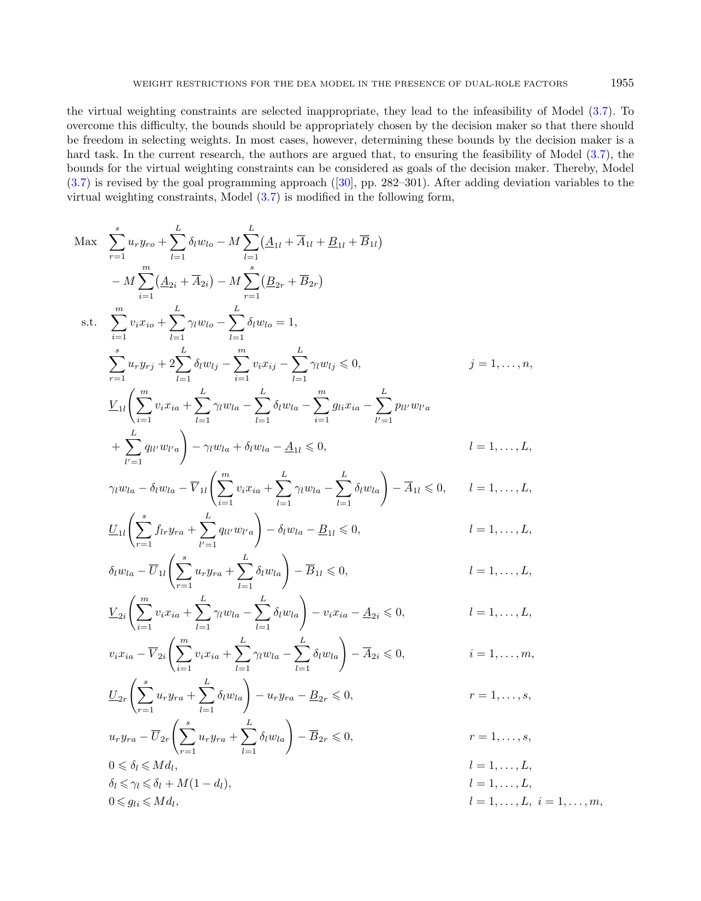the virtual weighting constraints are selected inappropriate, they lead to the infeasibility of Model [\(3.7\)](#page-7-0). To overcome this difficulty, the bounds should be appropriately chosen by the decision maker so that there should be freedom in selecting weights. In most cases, however, determining these bounds by the decision maker is a hard task. In the current research, the authors are argued that, to ensuring the feasibility of Model  $(3.7)$ , the bounds for the virtual weighting constraints can be considered as goals of the decision maker. Thereby, Model [\(3.7\)](#page-7-0) is revised by the goal programming approach([\[30\]](#page-21-16), pp. 282–301). After adding deviation variables to the virtual weighting constraints, Model [\(3.7\)](#page-7-0) is modified in the following form,

$$
\begin{split}\n\text{Max} \quad & \sum_{r=1}^{s} u_{r} y_{r0} + \sum_{l=1}^{L} \delta_{l} w_{lo} - M \sum_{l=1}^{L} (\underline{A}_{1l} + \overline{A}_{1l} + \underline{B}_{1l} + \overline{B}_{1l}) \\
& - M \sum_{i=1}^{m} (\underline{A}_{2i} + \overline{A}_{2i}) - M \sum_{r=1}^{s} (\underline{B}_{2r} + \overline{B}_{2r}) \\
\text{s.t.} \quad & \sum_{i=1}^{m} v_{i} x_{io} + \sum_{l=1}^{L} \gamma_{l} w_{lo} - \sum_{l=1}^{L} \delta_{l} w_{lo} = 1, \\
& \sum_{r=1}^{s} u_{r} y_{rj} + 2 \sum_{l=1}^{L} \delta_{l} w_{lj} - \sum_{l=1}^{m} v_{i} x_{ij} - \sum_{l=1}^{L} \gamma_{l} w_{lj} \le 0, \\
& \sum_{l=1}^{L} u_{l} y_{rj} + 2 \sum_{l=1}^{L} \delta_{l} w_{li} - \sum_{l=1}^{L} \delta_{l} w_{la} - \sum_{l=1}^{L} \gamma_{l} w_{li} \le 0, \\
& \sum_{l=1}^{L} \sum_{l=1}^{L} w_{l} w_{l} \ge 0, \\
& \sum_{l=1}^{L} \sum_{l=1}^{L} w_{l} w_{l} \ge 0, \\
& \sum_{l=1}^{L} \sum_{l=1}^{L} w_{l} w_{l} \ge 0, \\
& \sum_{l=1}^{L} \sum_{l=1}^{L} \delta_{l} w_{l} - \sum_{l=1}^{L} \delta_{l} w_{la} - \sum_{l=1}^{L} \delta_{l} w_{la} \ge 0, \\
& \sum_{l=1}^{L} \sum_{l, \ldots, L} \sum_{l, \ldots, L} \gamma_{l} w_{l} \ge 0, \\
& \sum_{l=1}^{L} \sum_{l, \ldots, L} \sum_{l, \ldots, L} \sum_{l, \ldots, L} \sum_{l, \ldots, L} \sum_{l, \ldots, L} \sum_{l, \ldots, L} \sum_{l, \ldots, L} \sum_{l, \ldots, L} \sum_{l, \ld
$$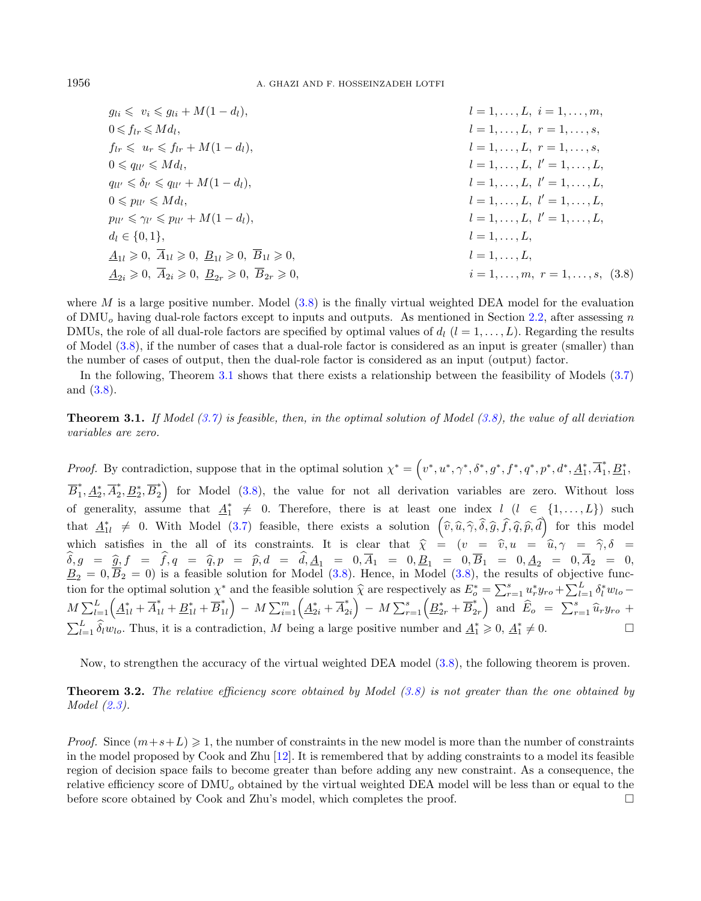<span id="page-9-0"></span> $g_{li} \leqslant v_i \leqslant g_{li} + M(1 - d_l),$   $l = 1, ..., L, i = 1, ..., m,$  $0 \leq f_{lr} \leq M d_l$ .  $l = 1, \ldots, L, r = 1, \ldots, s,$  $f_{lr} \leqslant u_r \leqslant f_{lr} + M(1 - d_l),$   $l = 1, \ldots, L, r = 1, \ldots, s,$  $0 \leq q_{ll'} \leq M d_l$ ,  $l = 1, \ldots, L, l' = 1, \ldots, L,$  $q_{ll'} \leq \delta_{l'} \leq q_{ll'} + M(1 - d_l),$  $l = 1, \ldots, L, l' = 1, \ldots, L,$  $0 \leqslant p_{ll'} \leqslant Md_l$ .  $l = 1, \ldots, L, l' = 1, \ldots, L,$  $p_{ll'} \leq \gamma_{l'} \leq p_{ll'} + M(1-d_l),$  $l = 1, \ldots, L, l' = 1, \ldots, L,$  $d_l \in \{0, 1\},\qquad l = 1, \ldots, L,$  $\underline{A}_{1l} \geqslant 0, \ \overline{A}_{1l} \geqslant 0, \ \underline{B}_{1l} \geqslant 0, \ \overline{B}_{1l} \geqslant 0,$   $l = 1, \ldots, L,$  $A_{2i} \geq 0, \ \overline{A}_{2i} \geq 0, \ B_{2r} \geq 0, \ \overline{B}_{2r} \geq 0, \qquad i = 1, \ldots, m, \ r = 1, \ldots, s, \ (3.8)$ 

<span id="page-9-1"></span>where  $M$  is a large positive number. Model  $(3.8)$  is the finally virtual weighted DEA model for the evaluation of DMU<sub>0</sub> having dual-role factors except to inputs and outputs. As mentioned in Section [2.2,](#page-4-2) after assessing n DMUs, the role of all dual-role factors are specified by optimal values of  $d_l$   $(l = 1, \ldots, L)$ . Regarding the results of Model [\(3.8\)](#page-9-0), if the number of cases that a dual-role factor is considered as an input is greater (smaller) than the number of cases of output, then the dual-role factor is considered as an input (output) factor.

In the following, Theorem [3.1](#page-9-1) shows that there exists a relationship between the feasibility of Models [\(3.7\)](#page-7-0) and [\(3.8\)](#page-9-0).

**Theorem 3.1.** If Model  $(3.7)$  is feasible, then, in the optimal solution of Model  $(3.8)$ , the value of all deviation variables are zero.

*Proof.* By contradiction, suppose that in the optimal solution  $\chi^* = (v^*, u^*, \gamma^*, \delta^*, g^*, f^*, q^*, p^*, d^*, \underline{A}_1^*, \overline{A}_1^*, \overline{A}_1^*, \overline{A}_2^*, \overline{A}_2^*, \overline{A}_2^*, \overline{A}_2^*, \overline{A}_2^*, \overline{A}_2^*, \overline{A}_2^*, \overline{A}_2^*, \overline{A}_2^*, \overline{A}_2^*, \overline{A$  $E_1^*, B_1^*,$  $\overline{B}_1^*$  $_{1}^{*}, \underline{A}_{2}^{*}, \overline{A}_{2}^{*}$  $_2^*,\underline{B}_2^*,\overline{B}_2^*$  $_{2}^{*}$  for Model [\(3.8\)](#page-9-0), the value for not all derivation variables are zero. Without loss of generality, assume that  $\underline{A}_1^* \neq 0$ . Therefore, there is at least one index  $l$   $(l \in \{1, ..., L\})$  such that  $\underline{A}_{1l}^* \neq 0$ . With Model [\(3.7\)](#page-7-0) feasible, there exists a solution  $(\widehat{v}, \widehat{u}, \widehat{\gamma}, \widehat{\delta}, \widehat{g}, \widehat{f}, \widehat{q}, \widehat{p}, \widehat{d})$  for this model which satisfies in the all of its constraints. It is clear that  $\hat{\chi} = (v = \hat{v}, u = \hat{u}, \gamma = \hat{\gamma}, \delta = \hat{\delta}$  $\delta, g = \hat{g}, f = f, q = \hat{q}, p = \hat{p}, d = d, \underline{A}_1 = 0, A_1 = 0, \underline{B}_1 = 0, B_1 = 0, \underline{A}_2 = 0, A_2 = 0,$ <br>  $B = 0, \overline{B}_2 = 0$  is a fossible solution for Model (3.8). Hence in Model (3.8), the results of objective func- $\underline{B}_2 = 0, B_2 = 0$  is a feasible solution for Model  $(3.8)$ . Hence, in Model  $(3.8)$ , the results of objective function for the optimal solution  $\chi^*$  and the feasible solution  $\hat{\chi}$  are respectively as  $E^*_{\sigma} = \sum_{r=1}^s u_r^* y_{r\sigma} + \sum_{l=1}^L \delta_l^* w_{l\sigma} M \sum_{l=1}^{L} (\underline{A}_{1l}^* + \overline{A}_{1l}^* + \underline{B}_{1l}^* + \overline{B}_{1}^*$  $\left( \frac{*}{1l} \right) - M \sum_{i=1}^m \left( \underline{A}^*_{2i} + \overline{A}^*_2 \right)$  $\left( \frac{*}{2i} \right) - M \sum_{r=1}^{s} \left( \underline{B}^{*}_{2r} + \overline{B}^{*}_{2r} \right)$  $\begin{pmatrix} x \\ 2r \end{pmatrix}$  and  $\widehat{E}_o = \sum_{r=1}^s \widehat{u}_r y_{ro} +$  $\sum_{l=1}^{L} \hat{\delta}_{l} w_{lo}$ . Thus, it is a contradiction, M being a large positive number and  $\underline{A}_{1}^{*} \geq 0$ ,  $\underline{A}_{1}^{*} \neq 0$ .

Now, to strengthen the accuracy of the virtual weighted DEA model [\(3.8\)](#page-9-0), the following theorem is proven.

**Theorem 3.2.** The relative efficiency score obtained by Model  $(3.8)$  is not greater than the one obtained by Model [\(2.3\)](#page-4-1).

*Proof.* Since  $(m+s+L) \geq 1$ , the number of constraints in the new model is more than the number of constraints in the model proposed by Cook and Zhu [\[12\]](#page-20-4). It is remembered that by adding constraints to a model its feasible region of decision space fails to become greater than before adding any new constraint. As a consequence, the relative efficiency score of  $\text{DMU}_o$  obtained by the virtual weighted DEA model will be less than or equal to the before score obtained by Cook and Zhu's model, which completes the proof.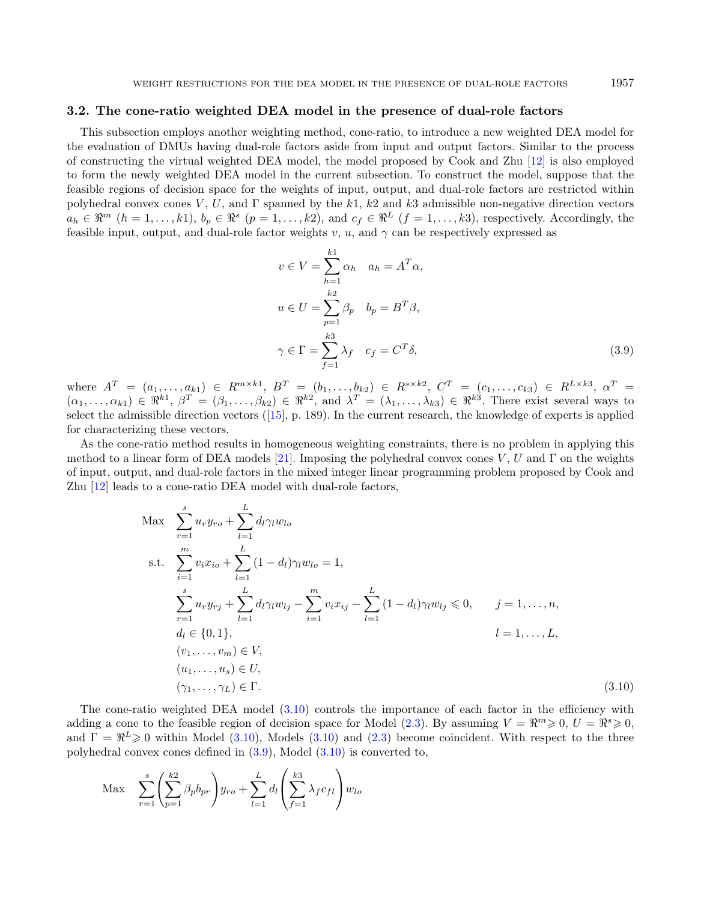## <span id="page-10-2"></span>3.2. The cone-ratio weighted DEA model in the presence of dual-role factors

This subsection employs another weighting method, cone-ratio, to introduce a new weighted DEA model for the evaluation of DMUs having dual-role factors aside from input and output factors. Similar to the process of constructing the virtual weighted DEA model, the model proposed by Cook and Zhu [\[12\]](#page-20-4) is also employed to form the newly weighted DEA model in the current subsection. To construct the model, suppose that the feasible regions of decision space for the weights of input, output, and dual-role factors are restricted within polyhedral convex cones  $V, U$ , and  $\Gamma$  spanned by the k1, k2 and k3 admissible non-negative direction vectors  $a_h \in \mathbb{R}^m$   $(h = 1, \ldots, k_1), b_p \in \mathbb{R}^s$   $(p = 1, \ldots, k_2),$  and  $c_f \in \mathbb{R}^L$   $(f = 1, \ldots, k_3),$  respectively. Accordingly, the feasible input, output, and dual-role factor weights  $v, u$ , and  $\gamma$  can be respectively expressed as

<span id="page-10-1"></span><span id="page-10-0"></span>
$$
v \in V = \sum_{h=1}^{k1} \alpha_h \quad a_h = A^T \alpha,
$$
  

$$
u \in U = \sum_{p=1}^{k2} \beta_p \quad b_p = B^T \beta,
$$
  

$$
\gamma \in \Gamma = \sum_{f=1}^{k3} \lambda_f \quad c_f = C^T \delta,
$$
 (3.9)

where  $A^T = (a_1, \ldots, a_{k1}) \in R^{m \times k1}$ ,  $B^T = (b_1, \ldots, b_{k2}) \in R^{s \times k2}$ ,  $C^T = (c_1, \ldots, c_{k3}) \in R^{L \times k3}$ ,  $\alpha^T =$  $(\alpha_1,\ldots,\alpha_{k1})\in \Re^{k1}, \beta^T=(\beta_1,\ldots,\beta_{k2})\in \Re^{k2}, \text{ and } \lambda^T=(\lambda_1,\ldots,\lambda_{k3})\in \Re^{k3}.$  There exist several ways to select the admissible direction vectors([\[15\]](#page-20-16), p. 189). In the current research, the knowledge of experts is applied for characterizing these vectors.

As the cone-ratio method results in homogeneous weighting constraints, there is no problem in applying this method to a linear form of DEA models [\[21\]](#page-21-11). Imposing the polyhedral convex cones  $V, U$  and  $\Gamma$  on the weights of input, output, and dual-role factors in the mixed integer linear programming problem proposed by Cook and Zhu [\[12\]](#page-20-4) leads to a cone-ratio DEA model with dual-role factors,

$$
\begin{aligned}\n\text{Max} \quad & \sum_{r=1}^{s} u_r y_{ro} + \sum_{l=1}^{L} d_l \gamma_l w_{lo} \\
\text{s.t.} \quad & \sum_{i=1}^{m} v_i x_{io} + \sum_{l=1}^{L} (1 - d_l) \gamma_l w_{lo} = 1, \\
& \sum_{r=1}^{s} u_r y_{rj} + \sum_{l=1}^{L} d_l \gamma_l w_{lj} - \sum_{i=1}^{m} v_i x_{ij} - \sum_{l=1}^{L} (1 - d_l) \gamma_l w_{lj} \leq 0, \qquad j = 1, \dots, n, \\
& d_l \in \{0, 1\}, \\
& l = 1, \dots, L, \\
& (v_1, \dots, v_m) \in V, \\
& (u_1, \dots, u_s) \in U, \\
& (\gamma_1, \dots, \gamma_L) \in \Gamma.\n\end{aligned}
$$
\n
$$
(3.10)
$$

The cone-ratio weighted DEA model [\(3.10\)](#page-10-0) controls the importance of each factor in the efficiency with adding a cone to the feasible region of decision space for Model  $(2.3)$ . By assuming  $V = \mathbb{R}^m \geq 0$ ,  $U = \mathbb{R}^s \geq 0$ , and  $\Gamma = \Re^L \geq 0$  within Model [\(3.10\)](#page-10-0), Models (3.10) and [\(2.3\)](#page-4-1) become coincident. With respect to the three polyhedral convex cones defined in [\(3.9\)](#page-10-1), Model [\(3.10\)](#page-10-0) is converted to,

$$
\text{Max} \quad \sum_{r=1}^{s} \left( \sum_{p=1}^{k^2} \beta_p b_{pr} \right) y_{ro} + \sum_{l=1}^{L} d_l \left( \sum_{f=1}^{k^3} \lambda_f c_{fl} \right) w_{lo}
$$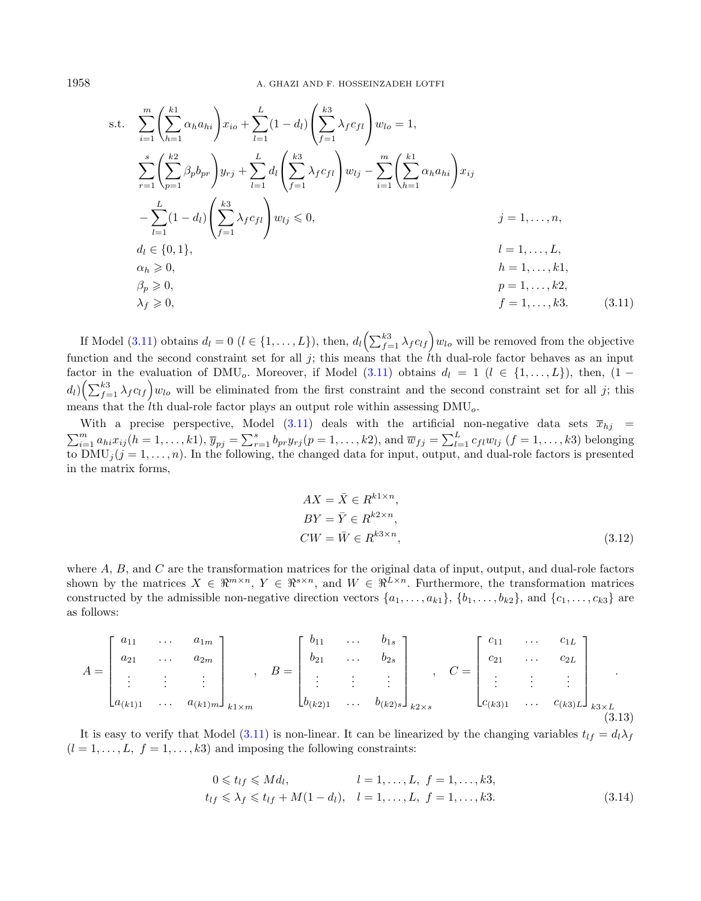s.t. 
$$
\sum_{i=1}^{m} \left( \sum_{h=1}^{k_1} \alpha_h a_{hi} \right) x_{io} + \sum_{l=1}^{L} (1 - d_l) \left( \sum_{f=1}^{k_3} \lambda_f c_{fl} \right) w_{lo} = 1,
$$
  
\n
$$
\sum_{r=1}^{s} \left( \sum_{p=1}^{k_2} \beta_p b_{pr} \right) y_{rj} + \sum_{l=1}^{L} d_l \left( \sum_{f=1}^{k_3} \lambda_f c_{fl} \right) w_{lj} - \sum_{i=1}^{m} \left( \sum_{h=1}^{k_1} \alpha_h a_{hi} \right) x_{ij}
$$
  
\n
$$
- \sum_{l=1}^{L} (1 - d_l) \left( \sum_{f=1}^{k_3} \lambda_f c_{fl} \right) w_{lj} \le 0, \qquad j = 1, ..., n,
$$
  
\n
$$
d_l \in \{0, 1\}, \qquad l = 1, ..., L,
$$
  
\n
$$
\alpha_h \ge 0, \qquad h = 1, ..., k1,
$$
  
\n
$$
\beta_p \ge 0, \qquad p = 1, ..., k2,
$$
  
\n
$$
\lambda_f \ge 0, \qquad f = 1, ..., k3.
$$
  
\n(3.11)

If Model [\(3.11\)](#page-11-0) obtains  $d_l = 0$   $(l \in \{1, ..., L\})$ , then,  $d_l \left( \sum_{f=1}^{k3} \lambda_f c_{lf} \right) w_{lo}$  will be removed from the objective function and the second constraint set for all  $j$ ; this means that the *l*th dual-role factor behaves as an input factor in the evaluation of DMU<sub>o</sub>. Moreover, if Model [\(3.11\)](#page-11-0) obtains  $d_l = 1$  ( $l \in \{1, ..., L\}$ ), then,  $(1$  $d_l\left(\sum_{f=1}^{k3} \lambda_f c_{lf}\right) w_{lo}$  will be eliminated from the first constraint and the second constraint set for all j; this means that the the dual-role factor plays an output role within assessing  $\text{DMU}_o$ .

With a precise perspective, Model  $(3.11)$  deals with the artificial non-negative data sets  $\bar{x}_{hj}$  =  $\sum_{i=1}^{m} a_{hi} x_{ij} (h = 1, \ldots, k)$ ,  $\overline{y}_{pj} = \sum_{r=1}^{s} b_{pr} y_{rj} (p = 1, \ldots, k)$ , and  $\overline{w}_{fj} = \sum_{l=1}^{L} c_{fl} w_{lj} (f = 1, \ldots, k)$  belonging to  $\text{DMU}_j$  ( $j = 1, \ldots, n$ ). In the following, the changed data for input, output, and dual-role factors is presented in the matrix forms,

<span id="page-11-0"></span>
$$
AX = \overline{X} \in R^{k1 \times n},
$$
  
\n
$$
BY = \overline{Y} \in R^{k2 \times n},
$$
  
\n
$$
CW = \overline{W} \in R^{k3 \times n},
$$
\n(3.12)

where  $A$ ,  $B$ , and  $C$  are the transformation matrices for the original data of input, output, and dual-role factors shown by the matrices  $X \in \mathbb{R}^{m \times n}$ ,  $Y \in \mathbb{R}^{s \times n}$ , and  $W \in \mathbb{R}^{L \times n}$ . Furthermore, the transformation matrices constructed by the admissible non-negative direction vectors  $\{a_1, \ldots, a_{k1}\}, \{b_1, \ldots, b_{k2}\},$  and  $\{c_1, \ldots, c_{k3}\}$  are as follows:

$$
A = \begin{bmatrix} a_{11} & \cdots & a_{1m} \\ a_{21} & \cdots & a_{2m} \\ \vdots & \vdots & \vdots \\ a_{(k1)1} & \cdots & a_{(k1)m} \end{bmatrix}_{k1 \times m}, \quad B = \begin{bmatrix} b_{11} & \cdots & b_{1s} \\ b_{21} & \cdots & b_{2s} \\ \vdots & \vdots & \vdots \\ b_{(k2)1} & \cdots & b_{(k2)s} \end{bmatrix}_{k2 \times s}, \quad C = \begin{bmatrix} c_{11} & \cdots & c_{1L} \\ c_{21} & \cdots & c_{2L} \\ \vdots & \vdots & \vdots \\ c_{(k3)1} & \cdots & c_{(k3)L} \end{bmatrix}_{k3 \times L}
$$
(3.13)

It is easy to verify that Model [\(3.11\)](#page-11-0) is non-linear. It can be linearized by the changing variables  $t_{lf} = d_l \lambda_f$  $(l = 1, \ldots, L, f = 1, \ldots, k3)$  and imposing the following constraints:

$$
0 \le t_{lf} \le Md_l, \qquad l = 1, ..., L, \ f = 1, ..., k3,\nt_{lf} \le \lambda_f \le t_{lf} + M(1 - d_l), \quad l = 1, ..., L, \ f = 1, ..., k3.
$$
\n(3.14)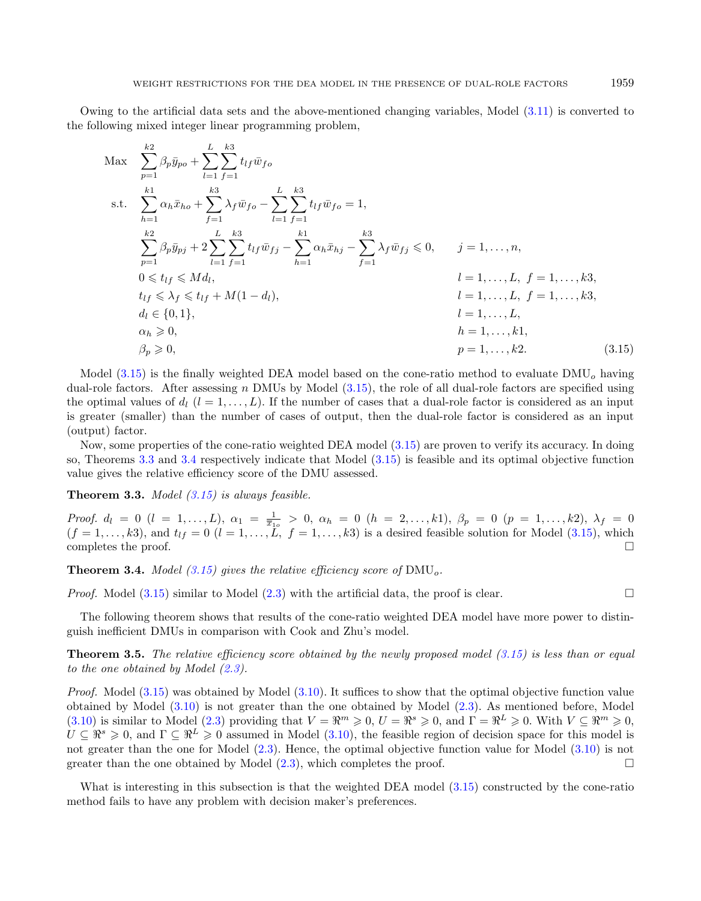Owing to the artificial data sets and the above-mentioned changing variables, Model [\(3.11\)](#page-11-0) is converted to the following mixed integer linear programming problem,

<span id="page-12-1"></span><span id="page-12-0"></span>Max 
$$
\sum_{p=1}^{k2} \beta_p \bar{y}_{po} + \sum_{l=1}^{L} \sum_{f=1}^{k3} t_{lf} \bar{w}_{fo}
$$
  
s.t. 
$$
\sum_{h=1}^{k1} \alpha_h \bar{x}_{ho} + \sum_{f=1}^{k3} \lambda_f \bar{w}_{fo} - \sum_{l=1}^{L} \sum_{f=1}^{k3} t_{lf} \bar{w}_{fo} = 1,
$$

$$
\sum_{p=1}^{k2} \beta_p \bar{y}_{pj} + 2 \sum_{l=1}^{L} \sum_{f=1}^{k3} t_{lf} \bar{w}_{fj} - \sum_{h=1}^{k1} \alpha_h \bar{x}_{hj} - \sum_{f=1}^{k3} \lambda_f \bar{w}_{fj} \le 0, \quad j = 1, ..., n,
$$

$$
0 \le t_{lf} \le Md_l,
$$

$$
t = 1, ..., L, f = 1, ..., k3,
$$

$$
t_{lf} \le \lambda_f \le t_{lf} + M(1 - d_l),
$$

$$
d_l \in \{0, 1\},
$$

$$
\alpha_h \ge 0,
$$

$$
h = 1, ..., L,
$$

$$
\alpha_h \ge 0,
$$

$$
p = 1, ..., k2.
$$

$$
(3.15)
$$

Model  $(3.15)$  is the finally weighted DEA model based on the cone-ratio method to evaluate DMU<sub>o</sub> having dual-role factors. After assessing  $n$  DMUs by Model  $(3.15)$ , the role of all dual-role factors are specified using the optimal values of  $d_l$   $(l = 1, ..., L)$ . If the number of cases that a dual-role factor is considered as an input is greater (smaller) than the number of cases of output, then the dual-role factor is considered as an input (output) factor.

Now, some properties of the cone-ratio weighted DEA model [\(3.15\)](#page-12-0) are proven to verify its accuracy. In doing so, Theorems [3.3](#page-12-1) and [3.4](#page-12-2) respectively indicate that Model [\(3.15\)](#page-12-0) is feasible and its optimal objective function value gives the relative efficiency score of the DMU assessed.

**Theorem 3.3.** Model  $(3.15)$  is always feasible.

Proof.  $d_l = 0$   $(l = 1, ..., L)$ ,  $\alpha_1 = \frac{1}{\bar{x}_{10}} > 0$ ,  $\alpha_h = 0$   $(h = 2, ..., k_1)$ ,  $\beta_p = 0$   $(p = 1, ..., k_2)$ ,  $\lambda_f = 0$  $(f = 1, \ldots, k3)$ , and  $t_{lf} = 0$   $(l = 1, \ldots, L, f = 1, \ldots, k3)$  is a desired feasible solution for Model [\(3.15\)](#page-12-0), which completes the proof.  $\Box$ 

<span id="page-12-2"></span>**Theorem 3.4.** Model [\(3.15\)](#page-12-0) gives the relative efficiency score of  $\text{DMU}_o$ .

*Proof.* Model  $(3.15)$  similar to Model  $(2.3)$  with the artificial data, the proof is clear.

The following theorem shows that results of the cone-ratio weighted DEA model have more power to distinguish inefficient DMUs in comparison with Cook and Zhu's model.

**Theorem 3.5.** The relative efficiency score obtained by the newly proposed model  $(3.15)$  is less than or equal to the one obtained by Model  $(2.3)$ .

*Proof.* Model  $(3.15)$  was obtained by Model  $(3.10)$ . It suffices to show that the optimal objective function value obtained by Model [\(3.10\)](#page-10-0) is not greater than the one obtained by Model [\(2.3\)](#page-4-1). As mentioned before, Model [\(3.10\)](#page-10-0) is similar to Model [\(2.3\)](#page-4-1) providing that  $V = \mathbb{R}^m \geq 0$ ,  $U = \mathbb{R}^s \geq 0$ , and  $\Gamma = \mathbb{R}^L \geq 0$ . With  $V \subseteq \mathbb{R}^m \geq 0$ ,  $U \subseteq \mathbb{R}^s \geq 0$ , and  $\Gamma \subseteq \mathbb{R}^L \geq 0$  assumed in Model [\(3.10\)](#page-10-0), the feasible region of decision space for this model is not greater than the one for Model [\(2.3\)](#page-4-1). Hence, the optimal objective function value for Model [\(3.10\)](#page-10-0) is not greater than the one obtained by Model  $(2.3)$ , which completes the proof.

What is interesting in this subsection is that the weighted DEA model  $(3.15)$  constructed by the cone-ratio method fails to have any problem with decision maker's preferences.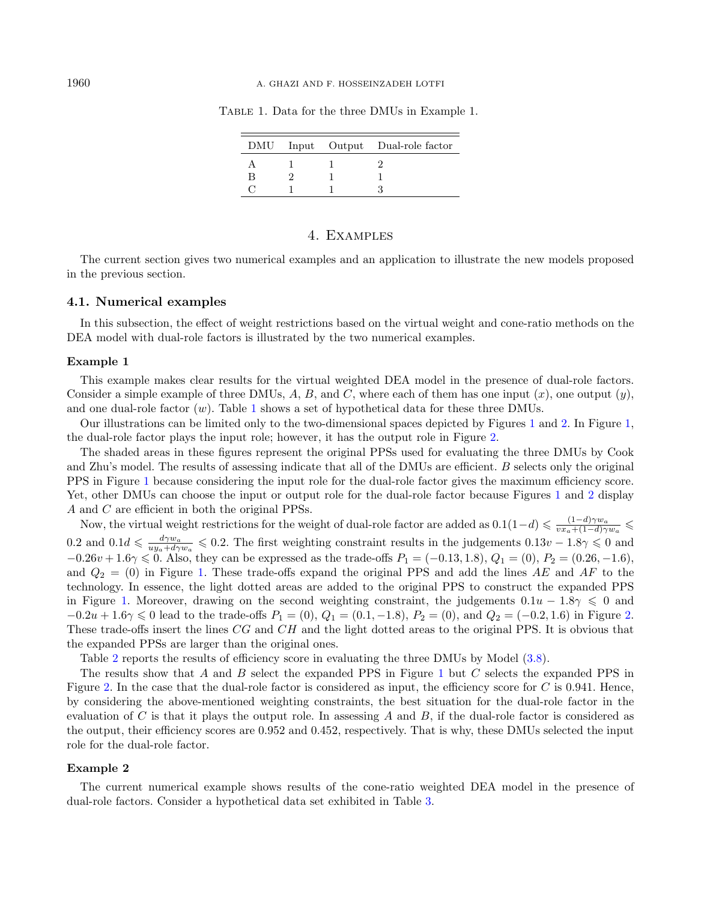#### 1960 A. GHAZI AND F. HOSSEINZADEH LOTFI

|   |  | DMU Input Output Dual-role factor |
|---|--|-----------------------------------|
|   |  |                                   |
| В |  |                                   |
|   |  |                                   |

<span id="page-13-1"></span>Table 1. Data for the three DMUs in Example 1.

## 4. Examples

<span id="page-13-0"></span>The current section gives two numerical examples and an application to illustrate the new models proposed in the previous section.

#### 4.1. Numerical examples

In this subsection, the effect of weight restrictions based on the virtual weight and cone-ratio methods on the DEA model with dual-role factors is illustrated by the two numerical examples.

#### Example 1

This example makes clear results for the virtual weighted DEA model in the presence of dual-role factors. Consider a simple example of three DMUs, A, B, and C, where each of them has one input  $(x)$ , one output  $(y)$ . and one dual-role factor  $(w)$ . Table [1](#page-13-1) shows a set of hypothetical data for these three DMUs.

Our illustrations can be limited only to the two-dimensional spaces depicted by Figures [1](#page-14-0) and [2.](#page-15-0) In Figure [1,](#page-14-0) the dual-role factor plays the input role; however, it has the output role in Figure [2.](#page-15-0)

The shaded areas in these figures represent the original PPSs used for evaluating the three DMUs by Cook and Zhu's model. The results of assessing indicate that all of the DMUs are efficient.  $B$  selects only the original PPS in Figure [1](#page-14-0) because considering the input role for the dual-role factor gives the maximum efficiency score. Yet, other DMUs can choose the input or output role for the dual-role factor because Figures [1](#page-14-0) and [2](#page-15-0) display A and  $C$  are efficient in both the original PPSs.

Now, the virtual weight restrictions for the weight of dual-role factor are added as  $0.1(1-d) \leq \frac{(1-d)\gamma w_a}{w_a+(1-d)\gamma}$  $\frac{(1-d)\gamma w_a}{vx_a+(1-d)\gamma w_a}$ 0.2 and  $0.1d \leq \frac{d\gamma w_a}{uy_a+d\gamma w_a} \leq 0.2$ . The first weighting constraint results in the judgements  $0.13v - 1.8\gamma \leq 0$  and  $-0.26v + 1.6\gamma \leq 0$ . Also, they can be expressed as the trade-offs  $P_1 = (-0.13, 1.8), Q_1 = (0), P_2 = (0.26, -1.6),$ and  $Q_2 = (0)$  in Figure [1.](#page-14-0) These trade-offs expand the original PPS and add the lines AE and AF to the technology. In essence, the light dotted areas are added to the original PPS to construct the expanded PPS in Figure [1.](#page-14-0) Moreover, drawing on the second weighting constraint, the judgements  $0.1u - 1.8\gamma \leq 0$  and  $-0.2u + 1.6\gamma \leq 0$  lead to the trade-offs  $P_1 = (0), Q_1 = (0.1, -1.8), P_2 = (0),$  and  $Q_2 = (-0.2, 1.6)$  in Figure [2.](#page-15-0) These trade-offs insert the lines  $CG$  and  $CH$  and the light dotted areas to the original PPS. It is obvious that the expanded PPSs are larger than the original ones.

Table [2](#page-15-1) reports the results of efficiency score in evaluating the three DMUs by Model  $(3.8)$ .

The results show that  $A$  and  $B$  select the expanded PPS in Figure [1](#page-14-0) but  $C$  selects the expanded PPS in Figure [2.](#page-15-0) In the case that the dual-role factor is considered as input, the efficiency score for  $C$  is 0.941. Hence, by considering the above-mentioned weighting constraints, the best situation for the dual-role factor in the evaluation of  $C$  is that it plays the output role. In assessing  $A$  and  $B$ , if the dual-role factor is considered as the output, their efficiency scores are 0.952 and 0.452, respectively. That is why, these DMUs selected the input role for the dual-role factor.

#### Example 2

The current numerical example shows results of the cone-ratio weighted DEA model in the presence of dual-role factors. Consider a hypothetical data set exhibited in Table [3.](#page-16-0)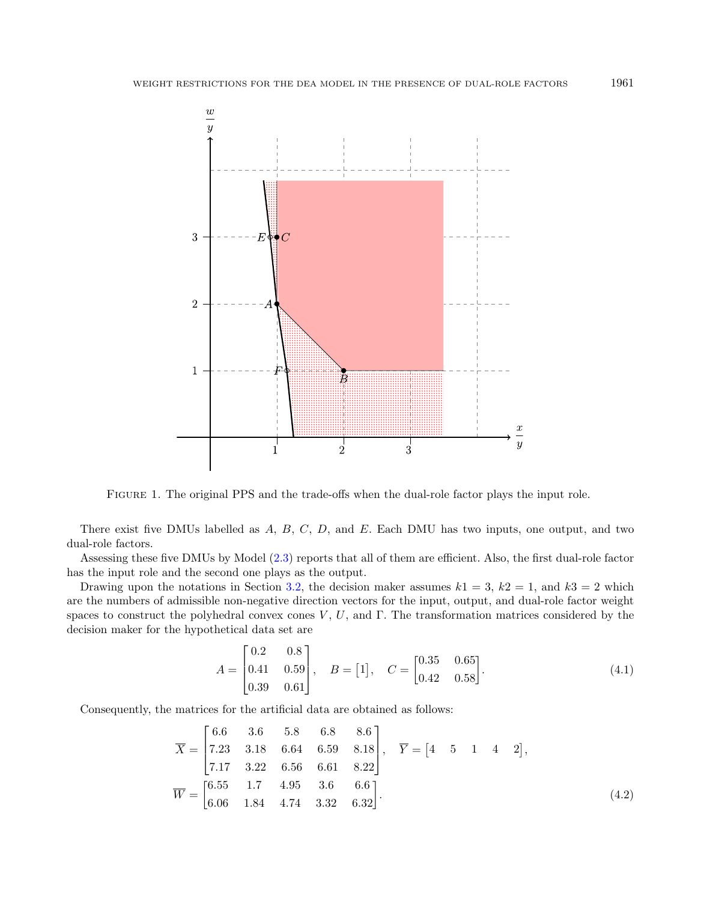

<span id="page-14-0"></span>Figure 1. The original PPS and the trade-offs when the dual-role factor plays the input role.

There exist five DMUs labelled as  $A, B, C, D$ , and  $E$ . Each DMU has two inputs, one output, and two dual-role factors.

Assessing these five DMUs by Model [\(2.3\)](#page-4-1) reports that all of them are efficient. Also, the first dual-role factor has the input role and the second one plays as the output.

Drawing upon the notations in Section [3.2,](#page-10-2) the decision maker assumes  $k_1 = 3$ ,  $k_2 = 1$ , and  $k_3 = 2$  which are the numbers of admissible non-negative direction vectors for the input, output, and dual-role factor weight spaces to construct the polyhedral convex cones  $V, U$ , and  $\Gamma$ . The transformation matrices considered by the decision maker for the hypothetical data set are

<span id="page-14-1"></span>
$$
A = \begin{bmatrix} 0.2 & 0.8 \\ 0.41 & 0.59 \\ 0.39 & 0.61 \end{bmatrix}, \quad B = [1], \quad C = \begin{bmatrix} 0.35 & 0.65 \\ 0.42 & 0.58 \end{bmatrix}.
$$
 (4.1)

Consequently, the matrices for the artificial data are obtained as follows:

$$
\overline{X} = \begin{bmatrix} 6.6 & 3.6 & 5.8 & 6.8 & 8.6 \\ 7.23 & 3.18 & 6.64 & 6.59 & 8.18 \\ 7.17 & 3.22 & 6.56 & 6.61 & 8.22 \end{bmatrix}, \quad \overline{Y} = \begin{bmatrix} 4 & 5 & 1 & 4 & 2 \end{bmatrix},
$$

$$
\overline{W} = \begin{bmatrix} 6.55 & 1.7 & 4.95 & 3.6 & 6.6 \\ 6.06 & 1.84 & 4.74 & 3.32 & 6.32 \end{bmatrix}.
$$
(4.2)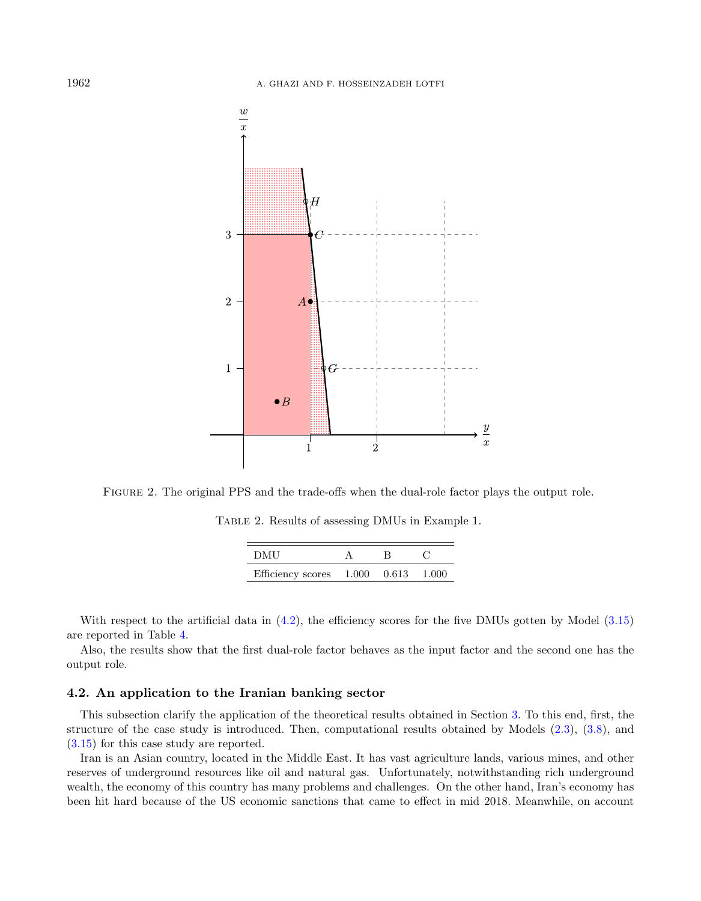

<span id="page-15-0"></span>Figure 2. The original PPS and the trade-offs when the dual-role factor plays the output role.

<span id="page-15-1"></span>Table 2. Results of assessing DMUs in Example 1.

| DMU                                       |  |  |
|-------------------------------------------|--|--|
| Efficiency scores $1.000$ $0.613$ $1.000$ |  |  |

With respect to the artificial data in  $(4.2)$ , the efficiency scores for the five DMUs gotten by Model  $(3.15)$ are reported in Table [4.](#page-16-1)

Also, the results show that the first dual-role factor behaves as the input factor and the second one has the output role.

## 4.2. An application to the Iranian banking sector

This subsection clarify the application of the theoretical results obtained in Section [3.](#page-4-0) To this end, first, the structure of the case study is introduced. Then, computational results obtained by Models [\(2.3\)](#page-4-1), [\(3.8\)](#page-9-0), and [\(3.15\)](#page-12-0) for this case study are reported.

Iran is an Asian country, located in the Middle East. It has vast agriculture lands, various mines, and other reserves of underground resources like oil and natural gas. Unfortunately, notwithstanding rich underground wealth, the economy of this country has many problems and challenges. On the other hand, Iran's economy has been hit hard because of the US economic sanctions that came to effect in mid 2018. Meanwhile, on account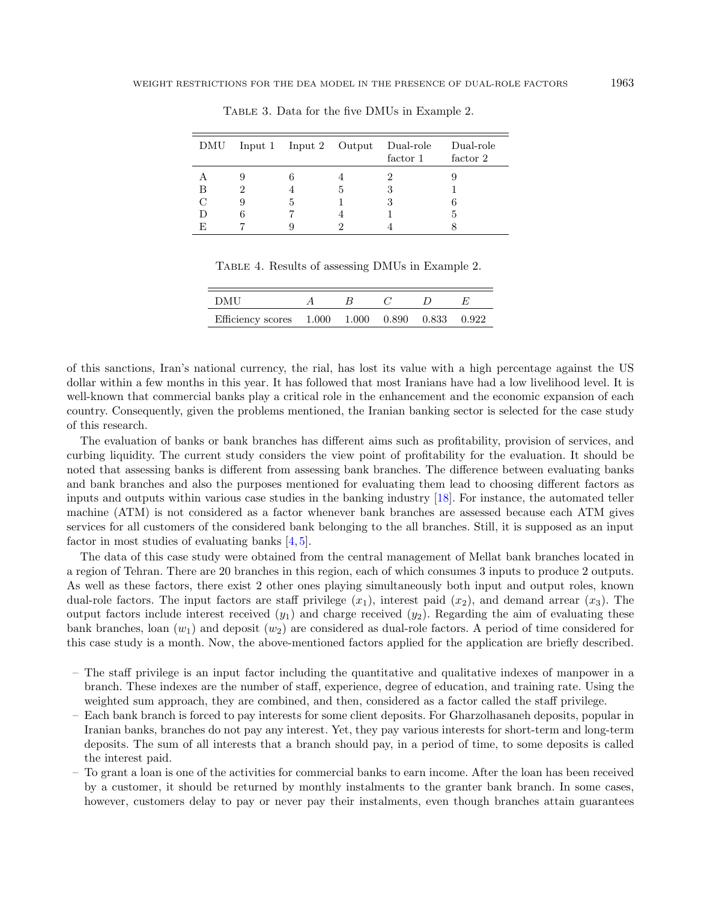|    |   |    | DMU Input 1 Input 2 Output Dual-role<br>factor 1 | Dual-role<br>factor 2 |
|----|---|----|--------------------------------------------------|-----------------------|
|    |   |    |                                                  |                       |
| В  |   | .h |                                                  |                       |
|    | h |    |                                                  |                       |
|    |   |    |                                                  |                       |
| F. |   |    |                                                  |                       |

<span id="page-16-1"></span><span id="page-16-0"></span>Table 3. Data for the five DMUs in Example 2.

Table 4. Results of assessing DMUs in Example 2.

| DMU                                             |  |  |  |
|-------------------------------------------------|--|--|--|
| Efficiency scores 1.000 1.000 0.890 0.833 0.922 |  |  |  |

of this sanctions, Iran's national currency, the rial, has lost its value with a high percentage against the US dollar within a few months in this year. It has followed that most Iranians have had a low livelihood level. It is well-known that commercial banks play a critical role in the enhancement and the economic expansion of each country. Consequently, given the problems mentioned, the Iranian banking sector is selected for the case study of this research.

The evaluation of banks or bank branches has different aims such as profitability, provision of services, and curbing liquidity. The current study considers the view point of profitability for the evaluation. It should be noted that assessing banks is different from assessing bank branches. The difference between evaluating banks and bank branches and also the purposes mentioned for evaluating them lead to choosing different factors as inputs and outputs within various case studies in the banking industry [\[18\]](#page-20-17). For instance, the automated teller machine (ATM) is not considered as a factor whenever bank branches are assessed because each ATM gives services for all customers of the considered bank belonging to the all branches. Still, it is supposed as an input factor in most studies of evaluating banks  $[4, 5]$  $[4, 5]$ .

The data of this case study were obtained from the central management of Mellat bank branches located in a region of Tehran. There are 20 branches in this region, each of which consumes 3 inputs to produce 2 outputs. As well as these factors, there exist 2 other ones playing simultaneously both input and output roles, known dual-role factors. The input factors are staff privilege  $(x_1)$ , interest paid  $(x_2)$ , and demand arrear  $(x_3)$ . The output factors include interest received  $(y_1)$  and charge received  $(y_2)$ . Regarding the aim of evaluating these bank branches, loan  $(w_1)$  and deposit  $(w_2)$  are considered as dual-role factors. A period of time considered for this case study is a month. Now, the above-mentioned factors applied for the application are briefly described.

- The staff privilege is an input factor including the quantitative and qualitative indexes of manpower in a branch. These indexes are the number of staff, experience, degree of education, and training rate. Using the weighted sum approach, they are combined, and then, considered as a factor called the staff privilege.
- Each bank branch is forced to pay interests for some client deposits. For Gharzolhasaneh deposits, popular in Iranian banks, branches do not pay any interest. Yet, they pay various interests for short-term and long-term deposits. The sum of all interests that a branch should pay, in a period of time, to some deposits is called the interest paid.
- To grant a loan is one of the activities for commercial banks to earn income. After the loan has been received by a customer, it should be returned by monthly instalments to the granter bank branch. In some cases, however, customers delay to pay or never pay their instalments, even though branches attain guarantees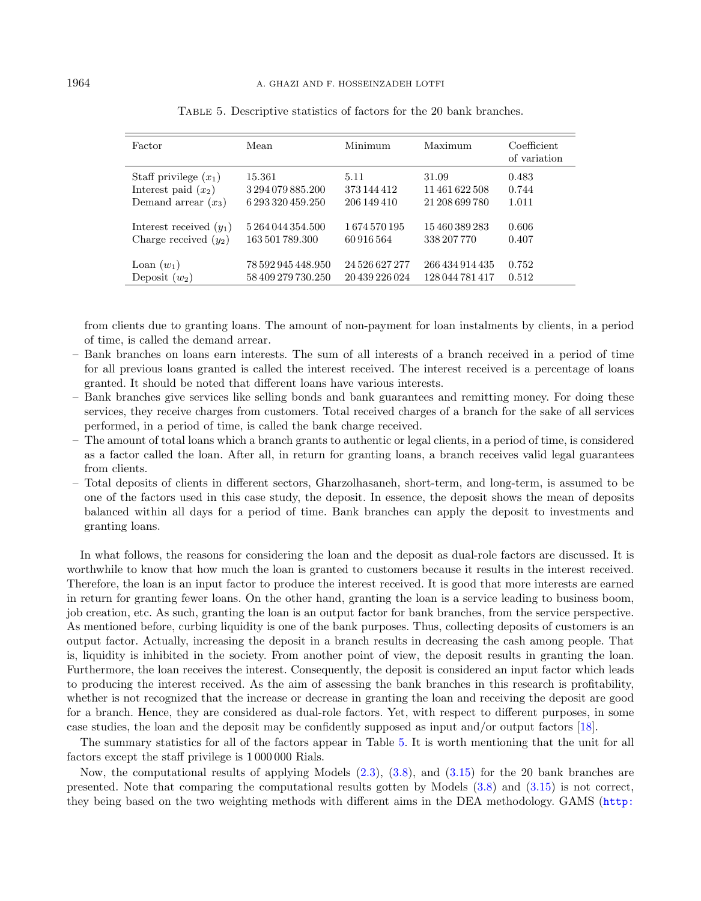| Factor                    | Mean               | Minimum        | Maximum         | Coefficient<br>of variation |
|---------------------------|--------------------|----------------|-----------------|-----------------------------|
| Staff privilege $(x_1)$   | 15.361             | 5.11           | 31.09           | 0.483                       |
| Interest paid $(x_2)$     | 3 294 079 885.200  | 373 144 412    | 11 461 622 508  | 0.744                       |
| Demand arrear $(x_3)$     | 6 293 320 459.250  | 206 149 410    | 21 208 699 780  | 1.011                       |
| Interest received $(y_1)$ | 5 264 044 354,500  | 1674570195     | 15460389283     | 0.606                       |
| Charge received $(y_2)$   | 163 501 789.300    | 60916564       | 338 207 770     | 0.407                       |
| Loan $(w_1)$              | 78 592 945 448.950 | 24 526 627 277 | 266 434 914 435 | 0.752                       |
| Deposit $(w_2)$           | 58 409 279 730.250 | 20 439 226 024 | 128 044 781 417 | 0.512                       |

<span id="page-17-0"></span>Table 5. Descriptive statistics of factors for the 20 bank branches.

from clients due to granting loans. The amount of non-payment for loan instalments by clients, in a period of time, is called the demand arrear.

- Bank branches on loans earn interests. The sum of all interests of a branch received in a period of time for all previous loans granted is called the interest received. The interest received is a percentage of loans granted. It should be noted that different loans have various interests.
- Bank branches give services like selling bonds and bank guarantees and remitting money. For doing these services, they receive charges from customers. Total received charges of a branch for the sake of all services performed, in a period of time, is called the bank charge received.
- The amount of total loans which a branch grants to authentic or legal clients, in a period of time, is considered as a factor called the loan. After all, in return for granting loans, a branch receives valid legal guarantees from clients.
- Total deposits of clients in different sectors, Gharzolhasaneh, short-term, and long-term, is assumed to be one of the factors used in this case study, the deposit. In essence, the deposit shows the mean of deposits balanced within all days for a period of time. Bank branches can apply the deposit to investments and granting loans.

In what follows, the reasons for considering the loan and the deposit as dual-role factors are discussed. It is worthwhile to know that how much the loan is granted to customers because it results in the interest received. Therefore, the loan is an input factor to produce the interest received. It is good that more interests are earned in return for granting fewer loans. On the other hand, granting the loan is a service leading to business boom, job creation, etc. As such, granting the loan is an output factor for bank branches, from the service perspective. As mentioned before, curbing liquidity is one of the bank purposes. Thus, collecting deposits of customers is an output factor. Actually, increasing the deposit in a branch results in decreasing the cash among people. That is, liquidity is inhibited in the society. From another point of view, the deposit results in granting the loan. Furthermore, the loan receives the interest. Consequently, the deposit is considered an input factor which leads to producing the interest received. As the aim of assessing the bank branches in this research is profitability, whether is not recognized that the increase or decrease in granting the loan and receiving the deposit are good for a branch. Hence, they are considered as dual-role factors. Yet, with respect to different purposes, in some case studies, the loan and the deposit may be confidently supposed as input and/or output factors [\[18\]](#page-20-17).

The summary statistics for all of the factors appear in Table [5.](#page-17-0) It is worth mentioning that the unit for all factors except the staff privilege is 1 000 000 Rials.

Now, the computational results of applying Models [\(2.3\)](#page-4-1), [\(3.8\)](#page-9-0), and [\(3.15\)](#page-12-0) for the 20 bank branches are presented. Note that comparing the computational results gotten by Models [\(3.8\)](#page-9-0) and [\(3.15\)](#page-12-0) is not correct, they being based on the two weighting methods with different aims in the DEA methodology. GAMS ([http:](http://www.gams.com)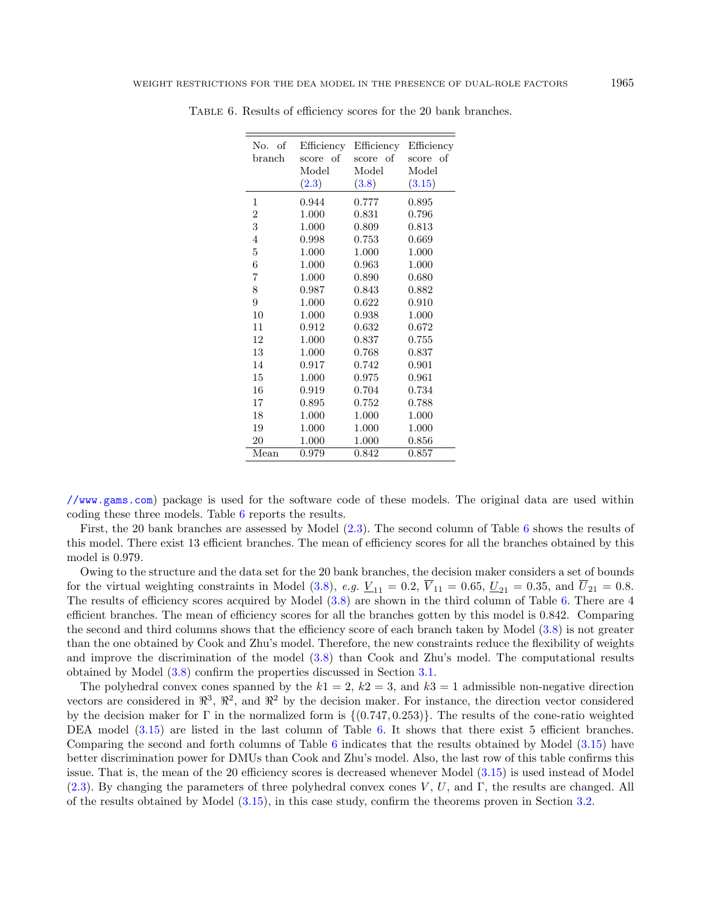| No. of<br>branch | Efficiency<br>score of | Efficiency<br>score of | Efficiency<br>score of |
|------------------|------------------------|------------------------|------------------------|
|                  | Model                  | Model                  | Model                  |
|                  | (2.3)                  | (3.8)                  | (3.15)                 |
| 1                | 0.944                  | 0.777                  | 0.895                  |
| $\boldsymbol{2}$ | 1.000                  | 0.831                  | 0.796                  |
| 3                | 1.000                  | 0.809                  | 0.813                  |
| $\overline{4}$   | 0.998                  | 0.753                  | 0.669                  |
| $\overline{5}$   | 1.000                  | 1.000                  | 1.000                  |
| $\,6$            | 1.000                  | 0.963                  | 1.000                  |
| $\overline{7}$   | 1.000                  | 0.890                  | 0.680                  |
| 8                | 0.987                  | 0.843                  | 0.882                  |
| 9                | 1.000                  | 0.622                  | 0.910                  |
| 10               | 1.000                  | 0.938                  | 1.000                  |
| 11               | 0.912                  | 0.632                  | 0.672                  |
| 12               | 1.000                  | 0.837                  | 0.755                  |
| 13               | 1.000                  | 0.768                  | 0.837                  |
| 14               | 0.917                  | 0.742                  | 0.901                  |
| 15               | 1.000                  | 0.975                  | 0.961                  |
| 16               | 0.919                  | 0.704                  | 0.734                  |
| 17               | 0.895                  | 0.752                  | 0.788                  |
| 18               | 1.000                  | 1.000                  | 1.000                  |
| 19               | 1.000                  | 1.000                  | 1.000                  |
| 20               | 1.000                  | 1.000                  | 0.856                  |
| Mean             | 0.979                  | 0.842                  | 0.857                  |

<span id="page-18-0"></span>Table 6. Results of efficiency scores for the 20 bank branches.

[//www.gams.com](http://www.gams.com)) package is used for the software code of these models. The original data are used within coding these three models. Table [6](#page-18-0) reports the results.

First, the 20 bank branches are assessed by Model [\(2.3\)](#page-4-1). The second column of Table [6](#page-18-0) shows the results of this model. There exist 13 efficient branches. The mean of efficiency scores for all the branches obtained by this model is 0.979.

Owing to the structure and the data set for the 20 bank branches, the decision maker considers a set of bounds for the virtual weighting constraints in Model [\(3.8\)](#page-9-0), e.g.  $\underline{V}_{11} = 0.2$ ,  $\overline{V}_{11} = 0.65$ ,  $\underline{U}_{21} = 0.35$ , and  $\overline{U}_{21} = 0.8$ . The results of efficiency scores acquired by Model [\(3.8\)](#page-9-0) are shown in the third column of Table [6.](#page-18-0) There are 4 efficient branches. The mean of efficiency scores for all the branches gotten by this model is 0.842. Comparing the second and third columns shows that the efficiency score of each branch taken by Model [\(3.8\)](#page-9-0) is not greater than the one obtained by Cook and Zhu's model. Therefore, the new constraints reduce the flexibility of weights and improve the discrimination of the model [\(3.8\)](#page-9-0) than Cook and Zhu's model. The computational results obtained by Model [\(3.8\)](#page-9-0) confirm the properties discussed in Section [3.1.](#page-5-0)

The polyhedral convex cones spanned by the  $k1 = 2$ ,  $k2 = 3$ , and  $k3 = 1$  admissible non-negative direction vectors are considered in  $\mathbb{R}^3$ ,  $\mathbb{R}^2$ , and  $\mathbb{R}^2$  by the decision maker. For instance, the direction vector considered by the decision maker for  $\Gamma$  in the normalized form is  $\{(0.747, 0.253)\}\.$  The results of the cone-ratio weighted DEA model  $(3.15)$  are listed in the last column of Table [6.](#page-18-0) It shows that there exist 5 efficient branches. Comparing the second and forth columns of Table [6](#page-18-0) indicates that the results obtained by Model [\(3.15\)](#page-12-0) have better discrimination power for DMUs than Cook and Zhu's model. Also, the last row of this table confirms this issue. That is, the mean of the 20 efficiency scores is decreased whenever Model [\(3.15\)](#page-12-0) is used instead of Model [\(2.3\)](#page-4-1). By changing the parameters of three polyhedral convex cones  $V, U$ , and Γ, the results are changed. All of the results obtained by Model [\(3.15\)](#page-12-0), in this case study, confirm the theorems proven in Section [3.2.](#page-10-2)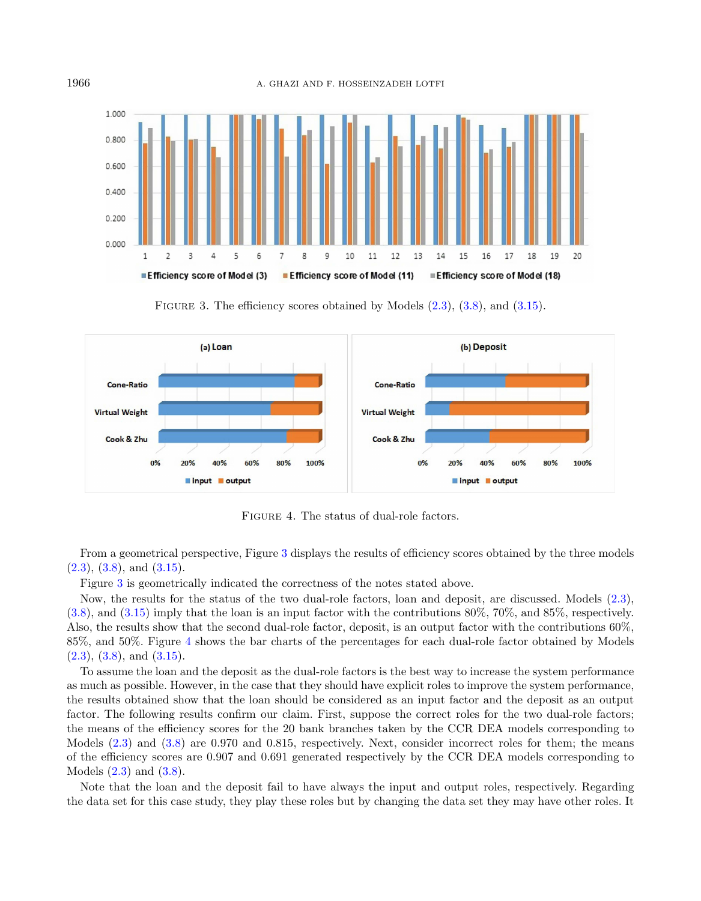<span id="page-19-0"></span>

<span id="page-19-1"></span>FIGURE 3. The efficiency scores obtained by Models  $(2.3)$ ,  $(3.8)$ , and  $(3.15)$ .



Figure 4. The status of dual-role factors.

From a geometrical perspective, Figure [3](#page-19-0) displays the results of efficiency scores obtained by the three models  $(2.3)$ ,  $(3.8)$ , and  $(3.15)$ .

Figure [3](#page-19-0) is geometrically indicated the correctness of the notes stated above.

Now, the results for the status of the two dual-role factors, loan and deposit, are discussed. Models [\(2.3\)](#page-4-1), [\(3.8\)](#page-9-0), and [\(3.15\)](#page-12-0) imply that the loan is an input factor with the contributions 80%, 70%, and 85%, respectively. Also, the results show that the second dual-role factor, deposit, is an output factor with the contributions 60%, 85%, and 50%. Figure [4](#page-19-1) shows the bar charts of the percentages for each dual-role factor obtained by Models  $(2.3)$ ,  $(3.8)$ , and  $(3.15)$ .

To assume the loan and the deposit as the dual-role factors is the best way to increase the system performance as much as possible. However, in the case that they should have explicit roles to improve the system performance, the results obtained show that the loan should be considered as an input factor and the deposit as an output factor. The following results confirm our claim. First, suppose the correct roles for the two dual-role factors; the means of the efficiency scores for the 20 bank branches taken by the CCR DEA models corresponding to Models [\(2.3\)](#page-4-1) and [\(3.8\)](#page-9-0) are 0.970 and 0.815, respectively. Next, consider incorrect roles for them; the means of the efficiency scores are 0.907 and 0.691 generated respectively by the CCR DEA models corresponding to Models [\(2.3\)](#page-4-1) and [\(3.8\)](#page-9-0).

Note that the loan and the deposit fail to have always the input and output roles, respectively. Regarding the data set for this case study, they play these roles but by changing the data set they may have other roles. It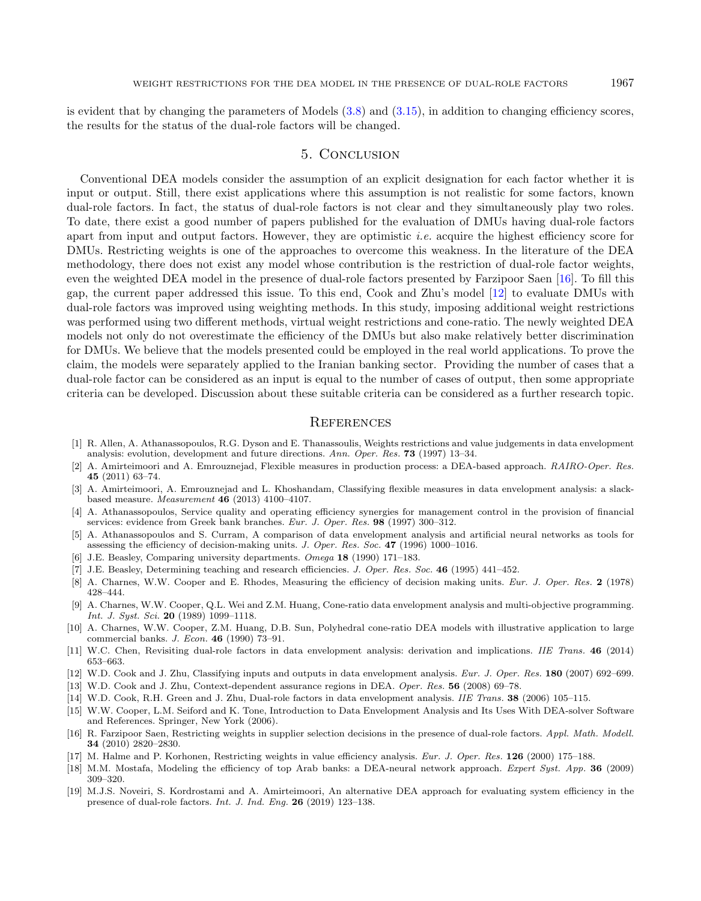is evident that by changing the parameters of Models  $(3.8)$  and  $(3.15)$ , in addition to changing efficiency scores, the results for the status of the dual-role factors will be changed.

## 5. Conclusion

<span id="page-20-15"></span><span id="page-20-10"></span><span id="page-20-6"></span>Conventional DEA models consider the assumption of an explicit designation for each factor whether it is input or output. Still, there exist applications where this assumption is not realistic for some factors, known dual-role factors. In fact, the status of dual-role factors is not clear and they simultaneously play two roles. To date, there exist a good number of papers published for the evaluation of DMUs having dual-role factors apart from input and output factors. However, they are optimistic *i.e.* acquire the highest efficiency score for DMUs. Restricting weights is one of the approaches to overcome this weakness. In the literature of the DEA methodology, there does not exist any model whose contribution is the restriction of dual-role factor weights, even the weighted DEA model in the presence of dual-role factors presented by Farzipoor Saen [\[16\]](#page-20-5). To fill this gap, the current paper addressed this issue. To this end, Cook and Zhu's model [\[12\]](#page-20-4) to evaluate DMUs with dual-role factors was improved using weighting methods. In this study, imposing additional weight restrictions was performed using two different methods, virtual weight restrictions and cone-ratio. The newly weighted DEA models not only do not overestimate the efficiency of the DMUs but also make relatively better discrimination for DMUs. We believe that the models presented could be employed in the real world applications. To prove the claim, the models were separately applied to the Iranian banking sector. Providing the number of cases that a dual-role factor can be considered as an input is equal to the number of cases of output, then some appropriate criteria can be developed. Discussion about these suitable criteria can be considered as a further research topic.

#### **REFERENCES**

- <span id="page-20-19"></span><span id="page-20-18"></span><span id="page-20-13"></span><span id="page-20-7"></span><span id="page-20-2"></span><span id="page-20-1"></span><span id="page-20-0"></span>[1] R. Allen, A. Athanassopoulos, R.G. Dyson and E. Thanassoulis, Weights restrictions and value judgements in data envelopment analysis: evolution, development and future directions. Ann. Oper. Res. 73 (1997) 13–34.
- <span id="page-20-14"></span>[2] A. Amirteimoori and A. Emrouznejad, Flexible measures in production process: a DEA-based approach. RAIRO-Oper. Res. 45 (2011) 63–74.
- <span id="page-20-8"></span>[3] A. Amirteimoori, A. Emrouznejad and L. Khoshandam, Classifying flexible measures in data envelopment analysis: a slackbased measure. Measurement 46 (2013) 4100–4107.
- <span id="page-20-11"></span><span id="page-20-4"></span>[4] A. Athanassopoulos, Service quality and operating efficiency synergies for management control in the provision of financial services: evidence from Greek bank branches. Eur. J. Oper. Res. 98 (1997) 300-312.
- <span id="page-20-16"></span><span id="page-20-3"></span>[5] A. Athanassopoulos and S. Curram, A comparison of data envelopment analysis and artificial neural networks as tools for assessing the efficiency of decision-making units. J. Oper. Res. Soc. 47 (1996) 1000–1016.
- [6] J.E. Beasley, Comparing university departments. Omega 18 (1990) 171–183.
- <span id="page-20-5"></span>[7] J.E. Beasley, Determining teaching and research efficiencies. J. Oper. Res. Soc. 46 (1995) 441–452.
- <span id="page-20-12"></span>[8] A. Charnes, W.W. Cooper and E. Rhodes, Measuring the efficiency of decision making units. Eur. J. Oper. Res. 2 (1978) 428–444.
- <span id="page-20-17"></span>[9] A. Charnes, W.W. Cooper, Q.L. Wei and Z.M. Huang, Cone-ratio data envelopment analysis and multi-objective programming. Int. J. Syst. Sci. 20 (1989) 1099–1118.
- <span id="page-20-9"></span>[10] A. Charnes, W.W. Cooper, Z.M. Huang, D.B. Sun, Polyhedral cone-ratio DEA models with illustrative application to large commercial banks. J. Econ. 46 (1990) 73–91.
- [11] W.C. Chen, Revisiting dual-role factors in data envelopment analysis: derivation and implications. IIE Trans. 46 (2014) 653–663.
- [12] W.D. Cook and J. Zhu, Classifying inputs and outputs in data envelopment analysis. Eur. J. Oper. Res. 180 (2007) 692–699.
- [13] W.D. Cook and J. Zhu, Context-dependent assurance regions in DEA. Oper. Res. 56 (2008) 69–78.
- [14] W.D. Cook, R.H. Green and J. Zhu, Dual-role factors in data envelopment analysis. IIE Trans. 38 (2006) 105–115.
- [15] W.W. Cooper, L.M. Seiford and K. Tone, Introduction to Data Envelopment Analysis and Its Uses With DEA-solver Software and References. Springer, New York (2006).
- [16] R. Farzipoor Saen, Restricting weights in supplier selection decisions in the presence of dual-role factors. Appl. Math. Modell. 34 (2010) 2820–2830.
- [17] M. Halme and P. Korhonen, Restricting weights in value efficiency analysis. Eur. J. Oper. Res. 126 (2000) 175–188.
- [18] M.M. Mostafa, Modeling the efficiency of top Arab banks: a DEA-neural network approach. Expert Syst. App. 36 (2009) 309–320.
- [19] M.J.S. Noveiri, S. Kordrostami and A. Amirteimoori, An alternative DEA approach for evaluating system efficiency in the presence of dual-role factors. Int. J. Ind. Eng. 26 (2019) 123–138.